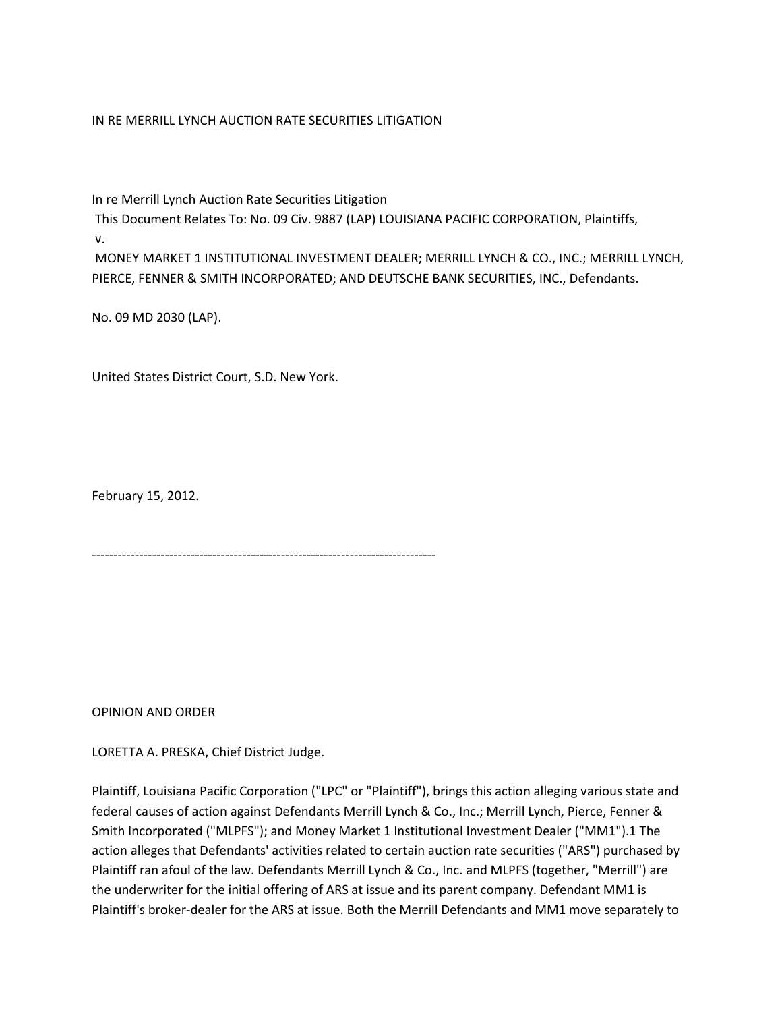## IN RE MERRILL LYNCH AUCTION RATE SECURITIES LITIGATION

In re Merrill Lynch Auction Rate Securities Litigation

This Document Relates To: No. 09 Civ. 9887 (LAP) LOUISIANA PACIFIC CORPORATION, Plaintiffs,

v.

MONEY MARKET 1 INSTITUTIONAL INVESTMENT DEALER; MERRILL LYNCH & CO., INC.; MERRILL LYNCH, PIERCE, FENNER & SMITH INCORPORATED; AND DEUTSCHE BANK SECURITIES, INC., Defendants.

No. 09 MD 2030 (LAP).

United States District Court, S.D. New York.

February 15, 2012.

--------------------------------------------------------------------------------

OPINION AND ORDER

LORETTA A. PRESKA, Chief District Judge.

Plaintiff, Louisiana Pacific Corporation ("LPC" or "Plaintiff"), brings this action alleging various state and federal causes of action against Defendants Merrill Lynch & Co., Inc.; Merrill Lynch, Pierce, Fenner & Smith Incorporated ("MLPFS"); and Money Market 1 Institutional Investment Dealer ("MM1").1 The action alleges that Defendants' activities related to certain auction rate securities ("ARS") purchased by Plaintiff ran afoul of the law. Defendants Merrill Lynch & Co., Inc. and MLPFS (together, "Merrill") are the underwriter for the initial offering of ARS at issue and its parent company. Defendant MM1 is Plaintiff's broker-dealer for the ARS at issue. Both the Merrill Defendants and MM1 move separately to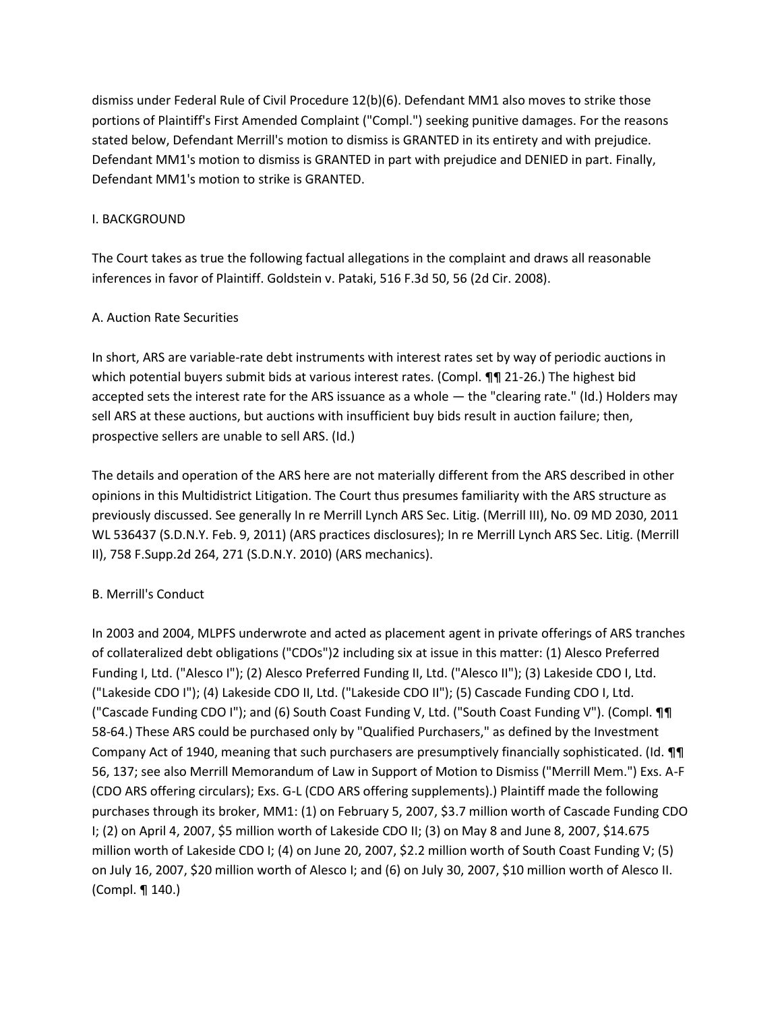dismiss under Federal Rule of Civil Procedure 12(b)(6). Defendant MM1 also moves to strike those portions of Plaintiff's First Amended Complaint ("Compl.") seeking punitive damages. For the reasons stated below, Defendant Merrill's motion to dismiss is GRANTED in its entirety and with prejudice. Defendant MM1's motion to dismiss is GRANTED in part with prejudice and DENIED in part. Finally, Defendant MM1's motion to strike is GRANTED.

## I. BACKGROUND

The Court takes as true the following factual allegations in the complaint and draws all reasonable inferences in favor of Plaintiff. Goldstein v. Pataki, 516 F.3d 50, 56 (2d Cir. 2008).

## A. Auction Rate Securities

In short, ARS are variable-rate debt instruments with interest rates set by way of periodic auctions in which potential buyers submit bids at various interest rates. (Compl. **¶**¶ 21-26.) The highest bid accepted sets the interest rate for the ARS issuance as a whole — the "clearing rate." (Id.) Holders may sell ARS at these auctions, but auctions with insufficient buy bids result in auction failure; then, prospective sellers are unable to sell ARS. (Id.)

The details and operation of the ARS here are not materially different from the ARS described in other opinions in this Multidistrict Litigation. The Court thus presumes familiarity with the ARS structure as previously discussed. See generally In re Merrill Lynch ARS Sec. Litig. (Merrill III), No. 09 MD 2030, 2011 WL 536437 (S.D.N.Y. Feb. 9, 2011) (ARS practices disclosures); In re Merrill Lynch ARS Sec. Litig. (Merrill II), 758 F.Supp.2d 264, 271 (S.D.N.Y. 2010) (ARS mechanics).

# B. Merrill's Conduct

In 2003 and 2004, MLPFS underwrote and acted as placement agent in private offerings of ARS tranches of collateralized debt obligations ("CDOs")2 including six at issue in this matter: (1) Alesco Preferred Funding I, Ltd. ("Alesco I"); (2) Alesco Preferred Funding II, Ltd. ("Alesco II"); (3) Lakeside CDO I, Ltd. ("Lakeside CDO I"); (4) Lakeside CDO II, Ltd. ("Lakeside CDO II"); (5) Cascade Funding CDO I, Ltd. ("Cascade Funding CDO I"); and (6) South Coast Funding V, Ltd. ("South Coast Funding V"). (Compl. ¶¶ 58-64.) These ARS could be purchased only by "Qualified Purchasers," as defined by the Investment Company Act of 1940, meaning that such purchasers are presumptively financially sophisticated. (Id. ¶¶ 56, 137; see also Merrill Memorandum of Law in Support of Motion to Dismiss ("Merrill Mem.") Exs. A-F (CDO ARS offering circulars); Exs. G-L (CDO ARS offering supplements).) Plaintiff made the following purchases through its broker, MM1: (1) on February 5, 2007, \$3.7 million worth of Cascade Funding CDO I; (2) on April 4, 2007, \$5 million worth of Lakeside CDO II; (3) on May 8 and June 8, 2007, \$14.675 million worth of Lakeside CDO I; (4) on June 20, 2007, \$2.2 million worth of South Coast Funding V; (5) on July 16, 2007, \$20 million worth of Alesco I; and (6) on July 30, 2007, \$10 million worth of Alesco II. (Compl. ¶ 140.)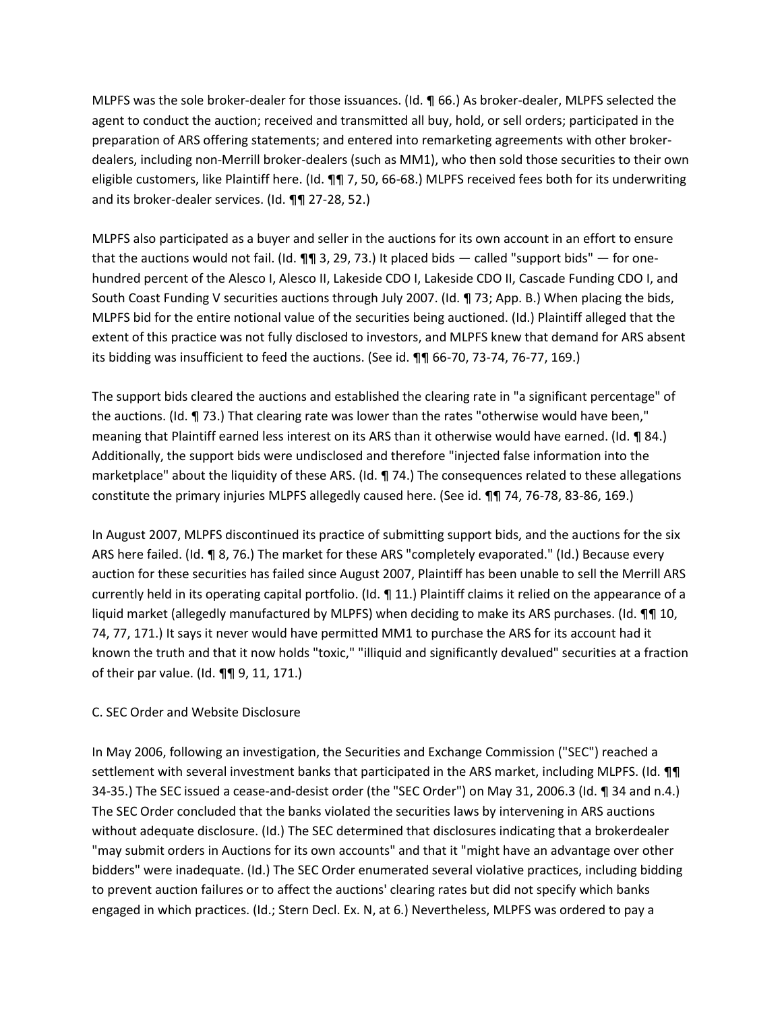MLPFS was the sole broker-dealer for those issuances. (Id. ¶ 66.) As broker-dealer, MLPFS selected the agent to conduct the auction; received and transmitted all buy, hold, or sell orders; participated in the preparation of ARS offering statements; and entered into remarketing agreements with other brokerdealers, including non-Merrill broker-dealers (such as MM1), who then sold those securities to their own eligible customers, like Plaintiff here. (Id. ¶¶ 7, 50, 66-68.) MLPFS received fees both for its underwriting and its broker-dealer services. (Id. ¶¶ 27-28, 52.)

MLPFS also participated as a buyer and seller in the auctions for its own account in an effort to ensure that the auctions would not fail. (Id.  $\P\P$  3, 29, 73.) It placed bids — called "support bids" — for onehundred percent of the Alesco I, Alesco II, Lakeside CDO I, Lakeside CDO II, Cascade Funding CDO I, and South Coast Funding V securities auctions through July 2007. (Id. ¶ 73; App. B.) When placing the bids, MLPFS bid for the entire notional value of the securities being auctioned. (Id.) Plaintiff alleged that the extent of this practice was not fully disclosed to investors, and MLPFS knew that demand for ARS absent its bidding was insufficient to feed the auctions. (See id. **¶** 66-70, 73-74, 76-77, 169.)

The support bids cleared the auctions and established the clearing rate in "a significant percentage" of the auctions. (Id. ¶ 73.) That clearing rate was lower than the rates "otherwise would have been," meaning that Plaintiff earned less interest on its ARS than it otherwise would have earned. (Id. ¶ 84.) Additionally, the support bids were undisclosed and therefore "injected false information into the marketplace" about the liquidity of these ARS. (Id. ¶ 74.) The consequences related to these allegations constitute the primary injuries MLPFS allegedly caused here. (See id. ¶¶ 74, 76-78, 83-86, 169.)

In August 2007, MLPFS discontinued its practice of submitting support bids, and the auctions for the six ARS here failed. (Id. ¶ 8, 76.) The market for these ARS "completely evaporated." (Id.) Because every auction for these securities has failed since August 2007, Plaintiff has been unable to sell the Merrill ARS currently held in its operating capital portfolio. (Id. ¶ 11.) Plaintiff claims it relied on the appearance of a liquid market (allegedly manufactured by MLPFS) when deciding to make its ARS purchases. (Id. **¶**¶ 10, 74, 77, 171.) It says it never would have permitted MM1 to purchase the ARS for its account had it known the truth and that it now holds "toxic," "illiquid and significantly devalued" securities at a fraction of their par value. (Id. ¶¶ 9, 11, 171.)

## C. SEC Order and Website Disclosure

In May 2006, following an investigation, the Securities and Exchange Commission ("SEC") reached a settlement with several investment banks that participated in the ARS market, including MLPFS. (Id.  $\P\P$ 34-35.) The SEC issued a cease-and-desist order (the "SEC Order") on May 31, 2006.3 (Id. ¶ 34 and n.4.) The SEC Order concluded that the banks violated the securities laws by intervening in ARS auctions without adequate disclosure. (Id.) The SEC determined that disclosures indicating that a brokerdealer "may submit orders in Auctions for its own accounts" and that it "might have an advantage over other bidders" were inadequate. (Id.) The SEC Order enumerated several violative practices, including bidding to prevent auction failures or to affect the auctions' clearing rates but did not specify which banks engaged in which practices. (Id.; Stern Decl. Ex. N, at 6.) Nevertheless, MLPFS was ordered to pay a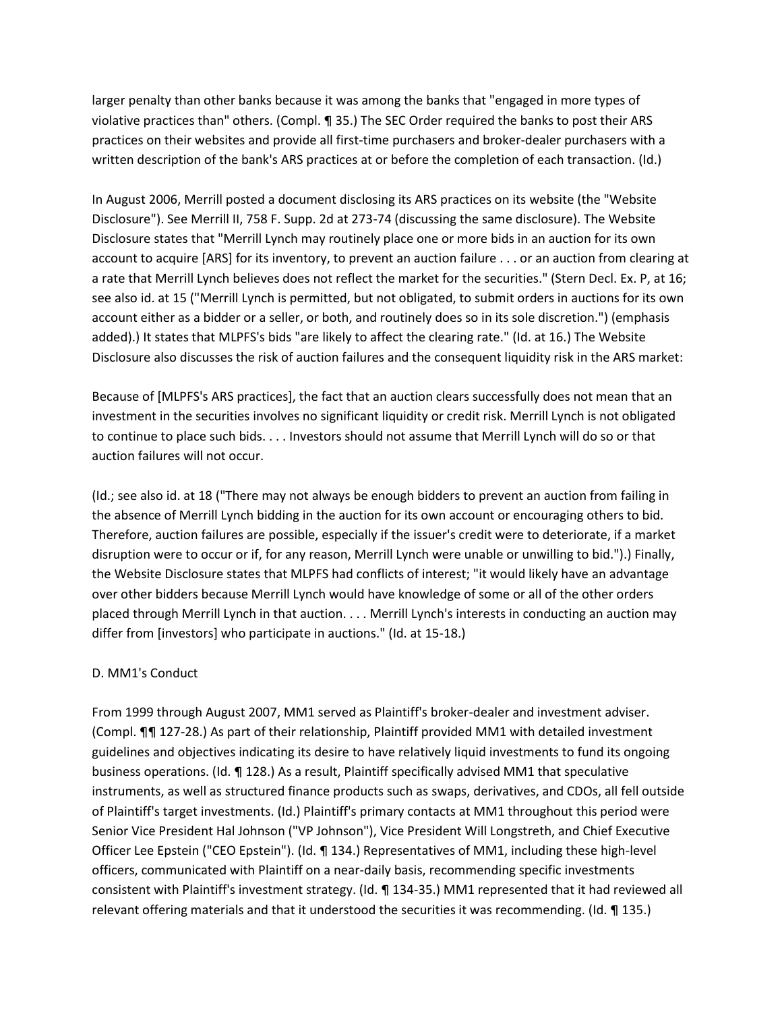larger penalty than other banks because it was among the banks that "engaged in more types of violative practices than" others. (Compl. ¶ 35.) The SEC Order required the banks to post their ARS practices on their websites and provide all first-time purchasers and broker-dealer purchasers with a written description of the bank's ARS practices at or before the completion of each transaction. (Id.)

In August 2006, Merrill posted a document disclosing its ARS practices on its website (the "Website Disclosure"). See Merrill II, 758 F. Supp. 2d at 273-74 (discussing the same disclosure). The Website Disclosure states that "Merrill Lynch may routinely place one or more bids in an auction for its own account to acquire [ARS] for its inventory, to prevent an auction failure . . . or an auction from clearing at a rate that Merrill Lynch believes does not reflect the market for the securities." (Stern Decl. Ex. P, at 16; see also id. at 15 ("Merrill Lynch is permitted, but not obligated, to submit orders in auctions for its own account either as a bidder or a seller, or both, and routinely does so in its sole discretion.") (emphasis added).) It states that MLPFS's bids "are likely to affect the clearing rate." (Id. at 16.) The Website Disclosure also discusses the risk of auction failures and the consequent liquidity risk in the ARS market:

Because of [MLPFS's ARS practices], the fact that an auction clears successfully does not mean that an investment in the securities involves no significant liquidity or credit risk. Merrill Lynch is not obligated to continue to place such bids. . . . Investors should not assume that Merrill Lynch will do so or that auction failures will not occur.

(Id.; see also id. at 18 ("There may not always be enough bidders to prevent an auction from failing in the absence of Merrill Lynch bidding in the auction for its own account or encouraging others to bid. Therefore, auction failures are possible, especially if the issuer's credit were to deteriorate, if a market disruption were to occur or if, for any reason, Merrill Lynch were unable or unwilling to bid.").) Finally, the Website Disclosure states that MLPFS had conflicts of interest; "it would likely have an advantage over other bidders because Merrill Lynch would have knowledge of some or all of the other orders placed through Merrill Lynch in that auction. . . . Merrill Lynch's interests in conducting an auction may differ from [investors] who participate in auctions." (Id. at 15-18.)

## D. MM1's Conduct

From 1999 through August 2007, MM1 served as Plaintiff's broker-dealer and investment adviser. (Compl. ¶¶ 127-28.) As part of their relationship, Plaintiff provided MM1 with detailed investment guidelines and objectives indicating its desire to have relatively liquid investments to fund its ongoing business operations. (Id. ¶ 128.) As a result, Plaintiff specifically advised MM1 that speculative instruments, as well as structured finance products such as swaps, derivatives, and CDOs, all fell outside of Plaintiff's target investments. (Id.) Plaintiff's primary contacts at MM1 throughout this period were Senior Vice President Hal Johnson ("VP Johnson"), Vice President Will Longstreth, and Chief Executive Officer Lee Epstein ("CEO Epstein"). (Id. ¶ 134.) Representatives of MM1, including these high-level officers, communicated with Plaintiff on a near-daily basis, recommending specific investments consistent with Plaintiff's investment strategy. (Id. ¶ 134-35.) MM1 represented that it had reviewed all relevant offering materials and that it understood the securities it was recommending. (Id. ¶ 135.)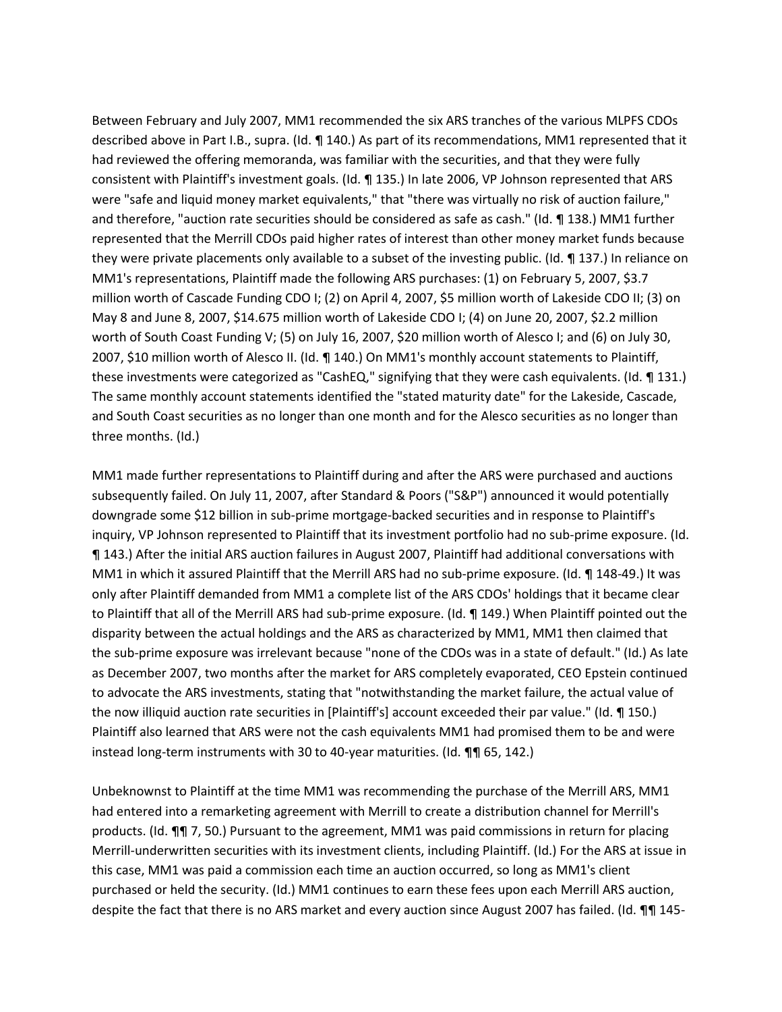Between February and July 2007, MM1 recommended the six ARS tranches of the various MLPFS CDOs described above in Part I.B., supra. (Id. ¶ 140.) As part of its recommendations, MM1 represented that it had reviewed the offering memoranda, was familiar with the securities, and that they were fully consistent with Plaintiff's investment goals. (Id. ¶ 135.) In late 2006, VP Johnson represented that ARS were "safe and liquid money market equivalents," that "there was virtually no risk of auction failure," and therefore, "auction rate securities should be considered as safe as cash." (Id. ¶ 138.) MM1 further represented that the Merrill CDOs paid higher rates of interest than other money market funds because they were private placements only available to a subset of the investing public. (Id. ¶ 137.) In reliance on MM1's representations, Plaintiff made the following ARS purchases: (1) on February 5, 2007, \$3.7 million worth of Cascade Funding CDO I; (2) on April 4, 2007, \$5 million worth of Lakeside CDO II; (3) on May 8 and June 8, 2007, \$14.675 million worth of Lakeside CDO I; (4) on June 20, 2007, \$2.2 million worth of South Coast Funding V; (5) on July 16, 2007, \$20 million worth of Alesco I; and (6) on July 30, 2007, \$10 million worth of Alesco II. (Id. ¶ 140.) On MM1's monthly account statements to Plaintiff, these investments were categorized as "CashEQ," signifying that they were cash equivalents. (Id. ¶ 131.) The same monthly account statements identified the "stated maturity date" for the Lakeside, Cascade, and South Coast securities as no longer than one month and for the Alesco securities as no longer than three months. (Id.)

MM1 made further representations to Plaintiff during and after the ARS were purchased and auctions subsequently failed. On July 11, 2007, after Standard & Poors ("S&P") announced it would potentially downgrade some \$12 billion in sub-prime mortgage-backed securities and in response to Plaintiff's inquiry, VP Johnson represented to Plaintiff that its investment portfolio had no sub-prime exposure. (Id. ¶ 143.) After the initial ARS auction failures in August 2007, Plaintiff had additional conversations with MM1 in which it assured Plaintiff that the Merrill ARS had no sub-prime exposure. (Id. ¶ 148-49.) It was only after Plaintiff demanded from MM1 a complete list of the ARS CDOs' holdings that it became clear to Plaintiff that all of the Merrill ARS had sub-prime exposure. (Id. ¶ 149.) When Plaintiff pointed out the disparity between the actual holdings and the ARS as characterized by MM1, MM1 then claimed that the sub-prime exposure was irrelevant because "none of the CDOs was in a state of default." (Id.) As late as December 2007, two months after the market for ARS completely evaporated, CEO Epstein continued to advocate the ARS investments, stating that "notwithstanding the market failure, the actual value of the now illiquid auction rate securities in [Plaintiff's] account exceeded their par value." (Id. ¶ 150.) Plaintiff also learned that ARS were not the cash equivalents MM1 had promised them to be and were instead long-term instruments with 30 to 40-year maturities. (Id. ¶¶ 65, 142.)

Unbeknownst to Plaintiff at the time MM1 was recommending the purchase of the Merrill ARS, MM1 had entered into a remarketing agreement with Merrill to create a distribution channel for Merrill's products. (Id. ¶¶ 7, 50.) Pursuant to the agreement, MM1 was paid commissions in return for placing Merrill-underwritten securities with its investment clients, including Plaintiff. (Id.) For the ARS at issue in this case, MM1 was paid a commission each time an auction occurred, so long as MM1's client purchased or held the security. (Id.) MM1 continues to earn these fees upon each Merrill ARS auction, despite the fact that there is no ARS market and every auction since August 2007 has failed. (Id. ¶¶ 145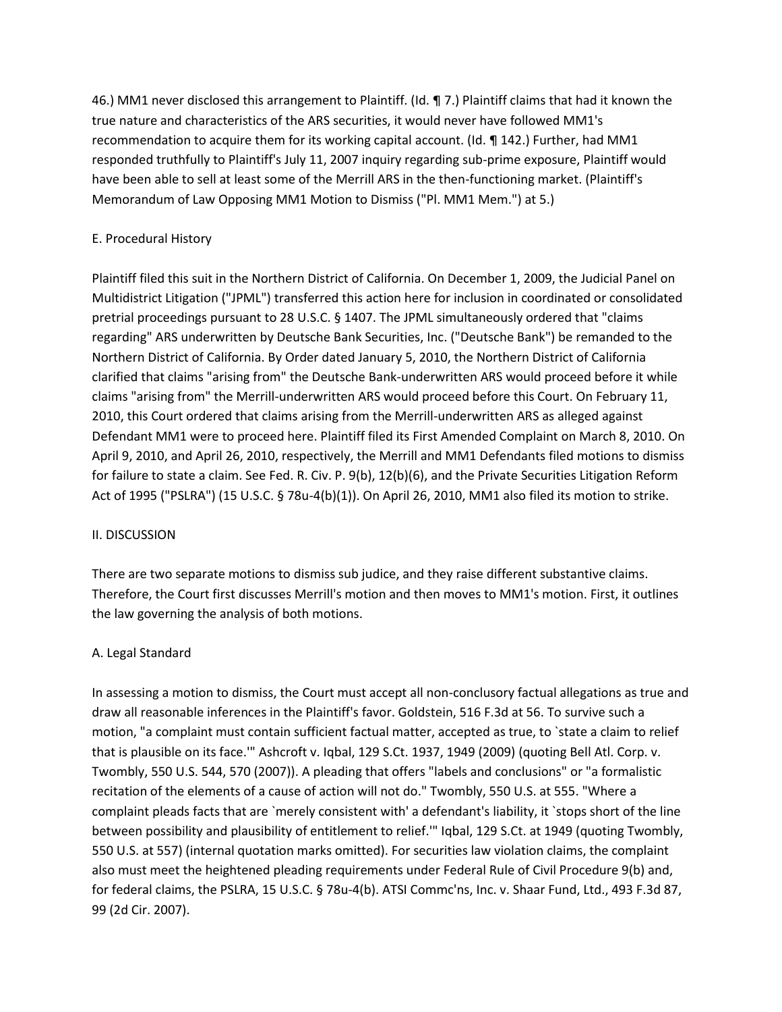46.) MM1 never disclosed this arrangement to Plaintiff. (Id. ¶ 7.) Plaintiff claims that had it known the true nature and characteristics of the ARS securities, it would never have followed MM1's recommendation to acquire them for its working capital account. (Id. ¶ 142.) Further, had MM1 responded truthfully to Plaintiff's July 11, 2007 inquiry regarding sub-prime exposure, Plaintiff would have been able to sell at least some of the Merrill ARS in the then-functioning market. (Plaintiff's Memorandum of Law Opposing MM1 Motion to Dismiss ("Pl. MM1 Mem.") at 5.)

# E. Procedural History

Plaintiff filed this suit in the Northern District of California. On December 1, 2009, the Judicial Panel on Multidistrict Litigation ("JPML") transferred this action here for inclusion in coordinated or consolidated pretrial proceedings pursuant to 28 U.S.C. § 1407. The JPML simultaneously ordered that "claims regarding" ARS underwritten by Deutsche Bank Securities, Inc. ("Deutsche Bank") be remanded to the Northern District of California. By Order dated January 5, 2010, the Northern District of California clarified that claims "arising from" the Deutsche Bank-underwritten ARS would proceed before it while claims "arising from" the Merrill-underwritten ARS would proceed before this Court. On February 11, 2010, this Court ordered that claims arising from the Merrill-underwritten ARS as alleged against Defendant MM1 were to proceed here. Plaintiff filed its First Amended Complaint on March 8, 2010. On April 9, 2010, and April 26, 2010, respectively, the Merrill and MM1 Defendants filed motions to dismiss for failure to state a claim. See Fed. R. Civ. P. 9(b), 12(b)(6), and the Private Securities Litigation Reform Act of 1995 ("PSLRA") (15 U.S.C. § 78u-4(b)(1)). On April 26, 2010, MM1 also filed its motion to strike.

# II. DISCUSSION

There are two separate motions to dismiss sub judice, and they raise different substantive claims. Therefore, the Court first discusses Merrill's motion and then moves to MM1's motion. First, it outlines the law governing the analysis of both motions.

# A. Legal Standard

In assessing a motion to dismiss, the Court must accept all non-conclusory factual allegations as true and draw all reasonable inferences in the Plaintiff's favor. Goldstein, 516 F.3d at 56. To survive such a motion, "a complaint must contain sufficient factual matter, accepted as true, to `state a claim to relief that is plausible on its face.'" Ashcroft v. Iqbal, 129 S.Ct. 1937, 1949 (2009) (quoting Bell Atl. Corp. v. Twombly, 550 U.S. 544, 570 (2007)). A pleading that offers "labels and conclusions" or "a formalistic recitation of the elements of a cause of action will not do." Twombly, 550 U.S. at 555. "Where a complaint pleads facts that are `merely consistent with' a defendant's liability, it `stops short of the line between possibility and plausibility of entitlement to relief.'" Iqbal, 129 S.Ct. at 1949 (quoting Twombly, 550 U.S. at 557) (internal quotation marks omitted). For securities law violation claims, the complaint also must meet the heightened pleading requirements under Federal Rule of Civil Procedure 9(b) and, for federal claims, the PSLRA, 15 U.S.C. § 78u-4(b). ATSI Commc'ns, Inc. v. Shaar Fund, Ltd., 493 F.3d 87, 99 (2d Cir. 2007).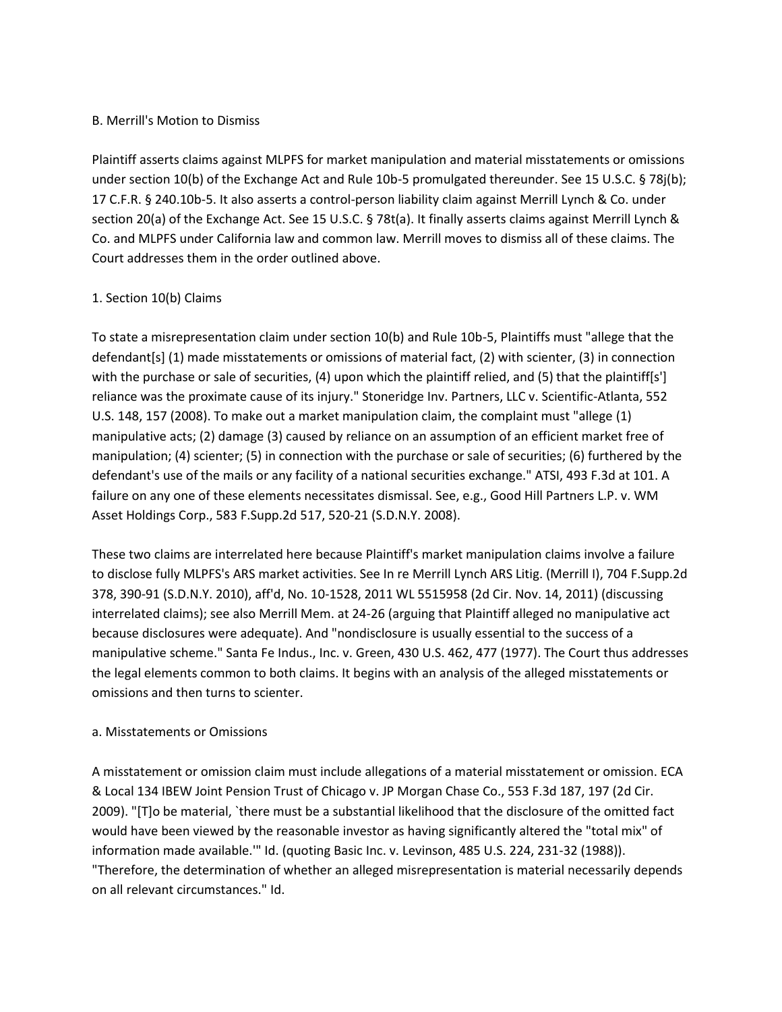## B. Merrill's Motion to Dismiss

Plaintiff asserts claims against MLPFS for market manipulation and material misstatements or omissions under section 10(b) of the Exchange Act and Rule 10b-5 promulgated thereunder. See 15 U.S.C. § 78j(b); 17 C.F.R. § 240.10b-5. It also asserts a control-person liability claim against Merrill Lynch & Co. under section 20(a) of the Exchange Act. See 15 U.S.C. § 78t(a). It finally asserts claims against Merrill Lynch & Co. and MLPFS under California law and common law. Merrill moves to dismiss all of these claims. The Court addresses them in the order outlined above.

## 1. Section 10(b) Claims

To state a misrepresentation claim under section 10(b) and Rule 10b-5, Plaintiffs must "allege that the defendant[s] (1) made misstatements or omissions of material fact, (2) with scienter, (3) in connection with the purchase or sale of securities, (4) upon which the plaintiff relied, and (5) that the plaintiff[s'] reliance was the proximate cause of its injury." Stoneridge Inv. Partners, LLC v. Scientific-Atlanta, 552 U.S. 148, 157 (2008). To make out a market manipulation claim, the complaint must "allege (1) manipulative acts; (2) damage (3) caused by reliance on an assumption of an efficient market free of manipulation; (4) scienter; (5) in connection with the purchase or sale of securities; (6) furthered by the defendant's use of the mails or any facility of a national securities exchange." ATSI, 493 F.3d at 101. A failure on any one of these elements necessitates dismissal. See, e.g., Good Hill Partners L.P. v. WM Asset Holdings Corp., 583 F.Supp.2d 517, 520-21 (S.D.N.Y. 2008).

These two claims are interrelated here because Plaintiff's market manipulation claims involve a failure to disclose fully MLPFS's ARS market activities. See In re Merrill Lynch ARS Litig. (Merrill I), 704 F.Supp.2d 378, 390-91 (S.D.N.Y. 2010), aff'd, No. 10-1528, 2011 WL 5515958 (2d Cir. Nov. 14, 2011) (discussing interrelated claims); see also Merrill Mem. at 24-26 (arguing that Plaintiff alleged no manipulative act because disclosures were adequate). And "nondisclosure is usually essential to the success of a manipulative scheme." Santa Fe Indus., Inc. v. Green, 430 U.S. 462, 477 (1977). The Court thus addresses the legal elements common to both claims. It begins with an analysis of the alleged misstatements or omissions and then turns to scienter.

## a. Misstatements or Omissions

A misstatement or omission claim must include allegations of a material misstatement or omission. ECA & Local 134 IBEW Joint Pension Trust of Chicago v. JP Morgan Chase Co., 553 F.3d 187, 197 (2d Cir. 2009). "[T]o be material, `there must be a substantial likelihood that the disclosure of the omitted fact would have been viewed by the reasonable investor as having significantly altered the "total mix" of information made available.'" Id. (quoting Basic Inc. v. Levinson, 485 U.S. 224, 231-32 (1988)). "Therefore, the determination of whether an alleged misrepresentation is material necessarily depends on all relevant circumstances." Id.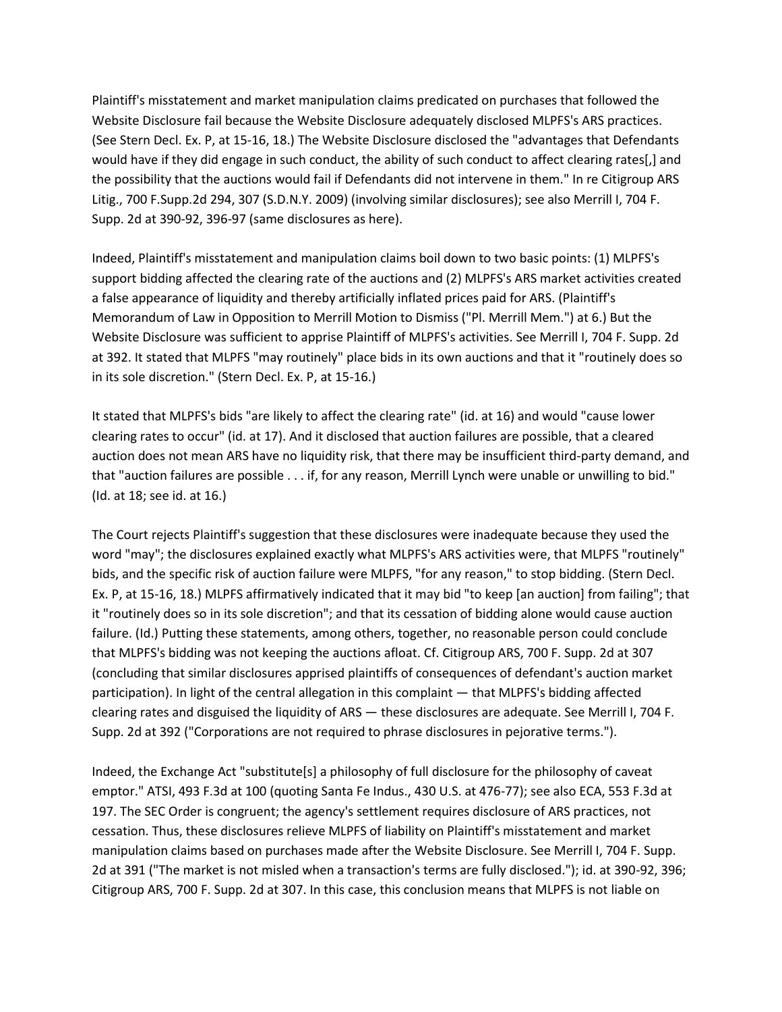Plaintiff's misstatement and market manipulation claims predicated on purchases that followed the Website Disclosure fail because the Website Disclosure adequately disclosed MLPFS's ARS practices. (See Stern Decl. Ex. P, at 15-16, 18.) The Website Disclosure disclosed the "advantages that Defendants would have if they did engage in such conduct, the ability of such conduct to affect clearing rates[,] and the possibility that the auctions would fail if Defendants did not intervene in them." In re Citigroup ARS Litig., 700 F.Supp.2d 294, 307 (S.D.N.Y. 2009) (involving similar disclosures); see also Merrill I, 704 F. Supp. 2d at 390-92, 396-97 (same disclosures as here).

Indeed, Plaintiff's misstatement and manipulation claims boil down to two basic points: (1) MLPFS's support bidding affected the clearing rate of the auctions and (2) MLPFS's ARS market activities created a false appearance of liquidity and thereby artificially inflated prices paid for ARS. (Plaintiff's Memorandum of Law in Opposition to Merrill Motion to Dismiss ("Pl. Merrill Mem.") at 6.) But the Website Disclosure was sufficient to apprise Plaintiff of MLPFS's activities. See Merrill I, 704 F. Supp. 2d at 392. It stated that MLPFS "may routinely" place bids in its own auctions and that it "routinely does so in its sole discretion." (Stern Decl. Ex. P, at 15-16.)

It stated that MLPFS's bids "are likely to affect the clearing rate" (id. at 16) and would "cause lower clearing rates to occur" (id. at 17). And it disclosed that auction failures are possible, that a cleared auction does not mean ARS have no liquidity risk, that there may be insufficient third-party demand, and that "auction failures are possible . . . if, for any reason, Merrill Lynch were unable or unwilling to bid." (Id. at 18; see id. at 16.)

The Court rejects Plaintiff's suggestion that these disclosures were inadequate because they used the word "may"; the disclosures explained exactly what MLPFS's ARS activities were, that MLPFS "routinely" bids, and the specific risk of auction failure were MLPFS, "for any reason," to stop bidding. (Stern Decl. Ex. P, at 15-16, 18.) MLPFS affirmatively indicated that it may bid "to keep [an auction] from failing"; that it "routinely does so in its sole discretion"; and that its cessation of bidding alone would cause auction failure. (Id.) Putting these statements, among others, together, no reasonable person could conclude that MLPFS's bidding was not keeping the auctions afloat. Cf. Citigroup ARS, 700 F. Supp. 2d at 307 (concluding that similar disclosures apprised plaintiffs of consequences of defendant's auction market participation). In light of the central allegation in this complaint — that MLPFS's bidding affected clearing rates and disguised the liquidity of ARS — these disclosures are adequate. See Merrill I, 704 F. Supp. 2d at 392 ("Corporations are not required to phrase disclosures in pejorative terms.").

Indeed, the Exchange Act "substitute[s] a philosophy of full disclosure for the philosophy of caveat emptor." ATSI, 493 F.3d at 100 (quoting Santa Fe Indus., 430 U.S. at 476-77); see also ECA, 553 F.3d at 197. The SEC Order is congruent; the agency's settlement requires disclosure of ARS practices, not cessation. Thus, these disclosures relieve MLPFS of liability on Plaintiff's misstatement and market manipulation claims based on purchases made after the Website Disclosure. See Merrill I, 704 F. Supp. 2d at 391 ("The market is not misled when a transaction's terms are fully disclosed."); id. at 390-92, 396; Citigroup ARS, 700 F. Supp. 2d at 307. In this case, this conclusion means that MLPFS is not liable on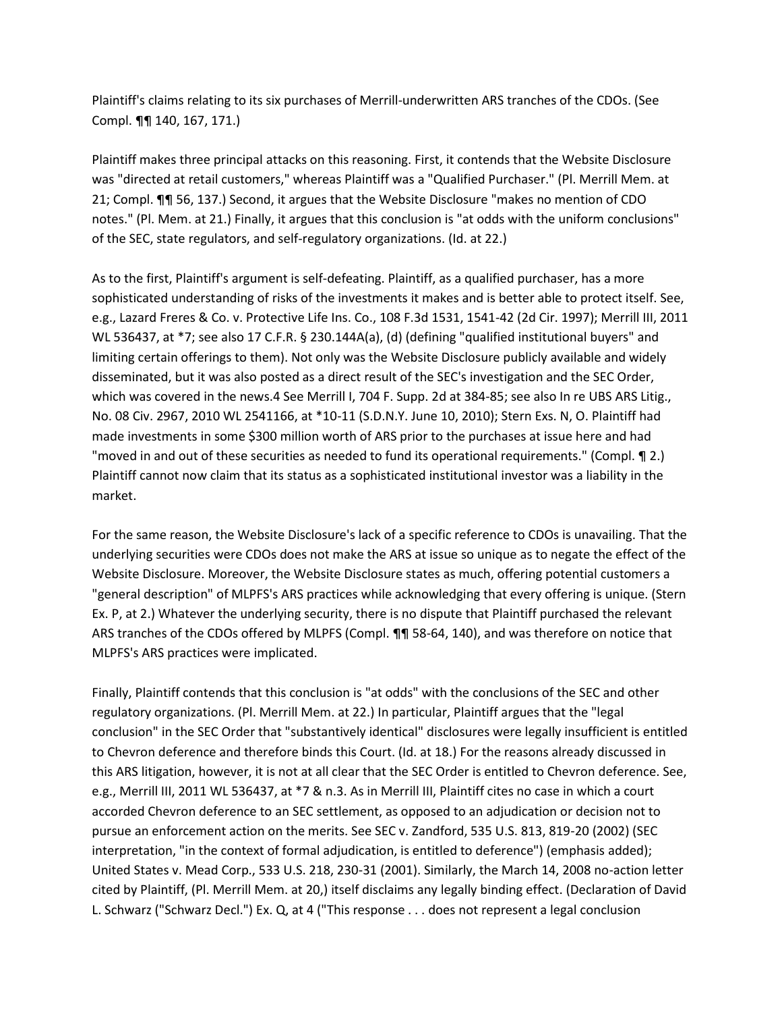Plaintiff's claims relating to its six purchases of Merrill-underwritten ARS tranches of the CDOs. (See Compl. ¶¶ 140, 167, 171.)

Plaintiff makes three principal attacks on this reasoning. First, it contends that the Website Disclosure was "directed at retail customers," whereas Plaintiff was a "Qualified Purchaser." (Pl. Merrill Mem. at 21; Compl. ¶¶ 56, 137.) Second, it argues that the Website Disclosure "makes no mention of CDO notes." (Pl. Mem. at 21.) Finally, it argues that this conclusion is "at odds with the uniform conclusions" of the SEC, state regulators, and self-regulatory organizations. (Id. at 22.)

As to the first, Plaintiff's argument is self-defeating. Plaintiff, as a qualified purchaser, has a more sophisticated understanding of risks of the investments it makes and is better able to protect itself. See, e.g., Lazard Freres & Co. v. Protective Life Ins. Co., 108 F.3d 1531, 1541-42 (2d Cir. 1997); Merrill III, 2011 WL 536437, at \*7; see also 17 C.F.R. § 230.144A(a), (d) (defining "qualified institutional buyers" and limiting certain offerings to them). Not only was the Website Disclosure publicly available and widely disseminated, but it was also posted as a direct result of the SEC's investigation and the SEC Order, which was covered in the news.4 See Merrill I, 704 F. Supp. 2d at 384-85; see also In re UBS ARS Litig., No. 08 Civ. 2967, 2010 WL 2541166, at \*10-11 (S.D.N.Y. June 10, 2010); Stern Exs. N, O. Plaintiff had made investments in some \$300 million worth of ARS prior to the purchases at issue here and had "moved in and out of these securities as needed to fund its operational requirements." (Compl. ¶ 2.) Plaintiff cannot now claim that its status as a sophisticated institutional investor was a liability in the market.

For the same reason, the Website Disclosure's lack of a specific reference to CDOs is unavailing. That the underlying securities were CDOs does not make the ARS at issue so unique as to negate the effect of the Website Disclosure. Moreover, the Website Disclosure states as much, offering potential customers a "general description" of MLPFS's ARS practices while acknowledging that every offering is unique. (Stern Ex. P, at 2.) Whatever the underlying security, there is no dispute that Plaintiff purchased the relevant ARS tranches of the CDOs offered by MLPFS (Compl. ¶¶ 58-64, 140), and was therefore on notice that MLPFS's ARS practices were implicated.

Finally, Plaintiff contends that this conclusion is "at odds" with the conclusions of the SEC and other regulatory organizations. (Pl. Merrill Mem. at 22.) In particular, Plaintiff argues that the "legal conclusion" in the SEC Order that "substantively identical" disclosures were legally insufficient is entitled to Chevron deference and therefore binds this Court. (Id. at 18.) For the reasons already discussed in this ARS litigation, however, it is not at all clear that the SEC Order is entitled to Chevron deference. See, e.g., Merrill III, 2011 WL 536437, at \*7 & n.3. As in Merrill III, Plaintiff cites no case in which a court accorded Chevron deference to an SEC settlement, as opposed to an adjudication or decision not to pursue an enforcement action on the merits. See SEC v. Zandford, 535 U.S. 813, 819-20 (2002) (SEC interpretation, "in the context of formal adjudication, is entitled to deference") (emphasis added); United States v. Mead Corp., 533 U.S. 218, 230-31 (2001). Similarly, the March 14, 2008 no-action letter cited by Plaintiff, (Pl. Merrill Mem. at 20,) itself disclaims any legally binding effect. (Declaration of David L. Schwarz ("Schwarz Decl.") Ex. Q, at 4 ("This response . . . does not represent a legal conclusion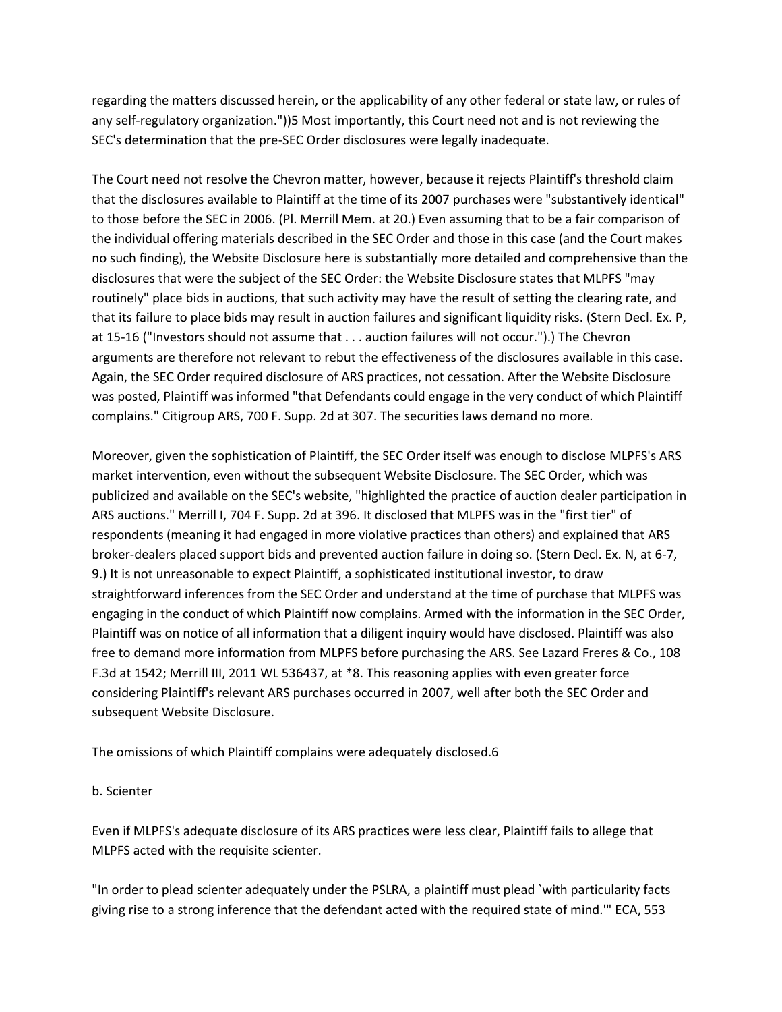regarding the matters discussed herein, or the applicability of any other federal or state law, or rules of any self-regulatory organization."))5 Most importantly, this Court need not and is not reviewing the SEC's determination that the pre-SEC Order disclosures were legally inadequate.

The Court need not resolve the Chevron matter, however, because it rejects Plaintiff's threshold claim that the disclosures available to Plaintiff at the time of its 2007 purchases were "substantively identical" to those before the SEC in 2006. (Pl. Merrill Mem. at 20.) Even assuming that to be a fair comparison of the individual offering materials described in the SEC Order and those in this case (and the Court makes no such finding), the Website Disclosure here is substantially more detailed and comprehensive than the disclosures that were the subject of the SEC Order: the Website Disclosure states that MLPFS "may routinely" place bids in auctions, that such activity may have the result of setting the clearing rate, and that its failure to place bids may result in auction failures and significant liquidity risks. (Stern Decl. Ex. P, at 15-16 ("Investors should not assume that . . . auction failures will not occur.").) The Chevron arguments are therefore not relevant to rebut the effectiveness of the disclosures available in this case. Again, the SEC Order required disclosure of ARS practices, not cessation. After the Website Disclosure was posted, Plaintiff was informed "that Defendants could engage in the very conduct of which Plaintiff complains." Citigroup ARS, 700 F. Supp. 2d at 307. The securities laws demand no more.

Moreover, given the sophistication of Plaintiff, the SEC Order itself was enough to disclose MLPFS's ARS market intervention, even without the subsequent Website Disclosure. The SEC Order, which was publicized and available on the SEC's website, "highlighted the practice of auction dealer participation in ARS auctions." Merrill I, 704 F. Supp. 2d at 396. It disclosed that MLPFS was in the "first tier" of respondents (meaning it had engaged in more violative practices than others) and explained that ARS broker-dealers placed support bids and prevented auction failure in doing so. (Stern Decl. Ex. N, at 6-7, 9.) It is not unreasonable to expect Plaintiff, a sophisticated institutional investor, to draw straightforward inferences from the SEC Order and understand at the time of purchase that MLPFS was engaging in the conduct of which Plaintiff now complains. Armed with the information in the SEC Order, Plaintiff was on notice of all information that a diligent inquiry would have disclosed. Plaintiff was also free to demand more information from MLPFS before purchasing the ARS. See Lazard Freres & Co., 108 F.3d at 1542; Merrill III, 2011 WL 536437, at \*8. This reasoning applies with even greater force considering Plaintiff's relevant ARS purchases occurred in 2007, well after both the SEC Order and subsequent Website Disclosure.

The omissions of which Plaintiff complains were adequately disclosed.6

## b. Scienter

Even if MLPFS's adequate disclosure of its ARS practices were less clear, Plaintiff fails to allege that MLPFS acted with the requisite scienter.

"In order to plead scienter adequately under the PSLRA, a plaintiff must plead `with particularity facts giving rise to a strong inference that the defendant acted with the required state of mind.'" ECA, 553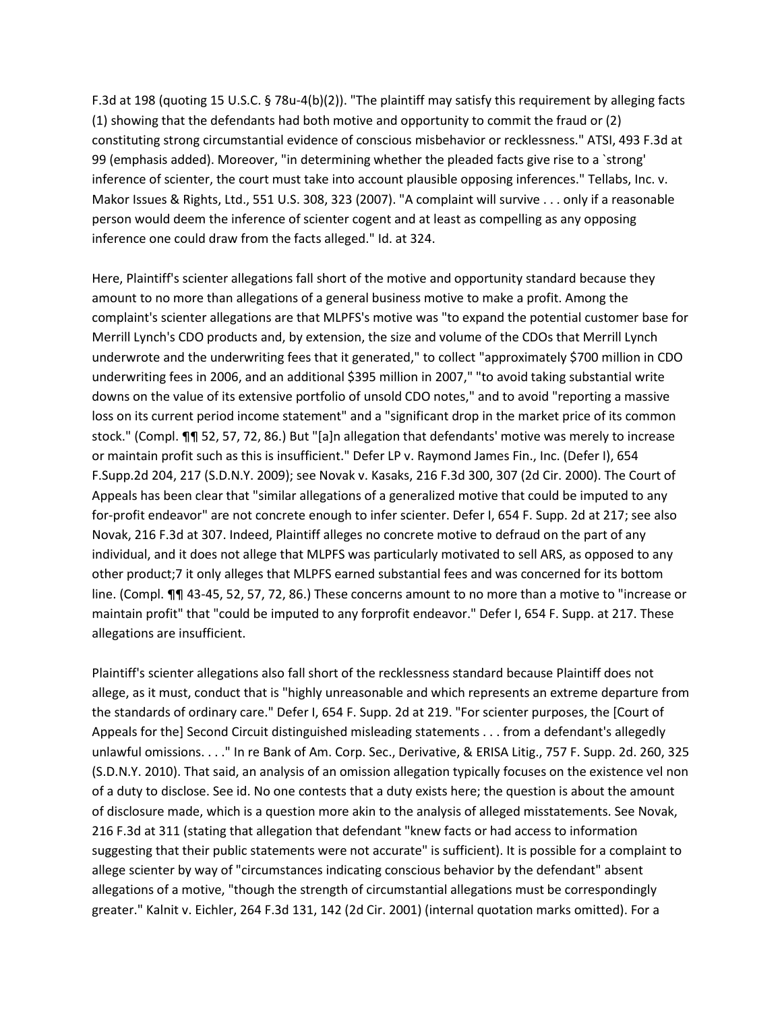F.3d at 198 (quoting 15 U.S.C. § 78u-4(b)(2)). "The plaintiff may satisfy this requirement by alleging facts (1) showing that the defendants had both motive and opportunity to commit the fraud or (2) constituting strong circumstantial evidence of conscious misbehavior or recklessness." ATSI, 493 F.3d at 99 (emphasis added). Moreover, "in determining whether the pleaded facts give rise to a `strong' inference of scienter, the court must take into account plausible opposing inferences." Tellabs, Inc. v. Makor Issues & Rights, Ltd., 551 U.S. 308, 323 (2007). "A complaint will survive . . . only if a reasonable person would deem the inference of scienter cogent and at least as compelling as any opposing inference one could draw from the facts alleged." Id. at 324.

Here, Plaintiff's scienter allegations fall short of the motive and opportunity standard because they amount to no more than allegations of a general business motive to make a profit. Among the complaint's scienter allegations are that MLPFS's motive was "to expand the potential customer base for Merrill Lynch's CDO products and, by extension, the size and volume of the CDOs that Merrill Lynch underwrote and the underwriting fees that it generated," to collect "approximately \$700 million in CDO underwriting fees in 2006, and an additional \$395 million in 2007," "to avoid taking substantial write downs on the value of its extensive portfolio of unsold CDO notes," and to avoid "reporting a massive loss on its current period income statement" and a "significant drop in the market price of its common stock." (Compl. ¶¶ 52, 57, 72, 86.) But "[a]n allegation that defendants' motive was merely to increase or maintain profit such as this is insufficient." Defer LP v. Raymond James Fin., Inc. (Defer I), 654 F.Supp.2d 204, 217 (S.D.N.Y. 2009); see Novak v. Kasaks, 216 F.3d 300, 307 (2d Cir. 2000). The Court of Appeals has been clear that "similar allegations of a generalized motive that could be imputed to any for-profit endeavor" are not concrete enough to infer scienter. Defer I, 654 F. Supp. 2d at 217; see also Novak, 216 F.3d at 307. Indeed, Plaintiff alleges no concrete motive to defraud on the part of any individual, and it does not allege that MLPFS was particularly motivated to sell ARS, as opposed to any other product;7 it only alleges that MLPFS earned substantial fees and was concerned for its bottom line. (Compl. ¶¶ 43-45, 52, 57, 72, 86.) These concerns amount to no more than a motive to "increase or maintain profit" that "could be imputed to any forprofit endeavor." Defer I, 654 F. Supp. at 217. These allegations are insufficient.

Plaintiff's scienter allegations also fall short of the recklessness standard because Plaintiff does not allege, as it must, conduct that is "highly unreasonable and which represents an extreme departure from the standards of ordinary care." Defer I, 654 F. Supp. 2d at 219. "For scienter purposes, the [Court of Appeals for the] Second Circuit distinguished misleading statements . . . from a defendant's allegedly unlawful omissions. . . ." In re Bank of Am. Corp. Sec., Derivative, & ERISA Litig., 757 F. Supp. 2d. 260, 325 (S.D.N.Y. 2010). That said, an analysis of an omission allegation typically focuses on the existence vel non of a duty to disclose. See id. No one contests that a duty exists here; the question is about the amount of disclosure made, which is a question more akin to the analysis of alleged misstatements. See Novak, 216 F.3d at 311 (stating that allegation that defendant "knew facts or had access to information suggesting that their public statements were not accurate" is sufficient). It is possible for a complaint to allege scienter by way of "circumstances indicating conscious behavior by the defendant" absent allegations of a motive, "though the strength of circumstantial allegations must be correspondingly greater." Kalnit v. Eichler, 264 F.3d 131, 142 (2d Cir. 2001) (internal quotation marks omitted). For a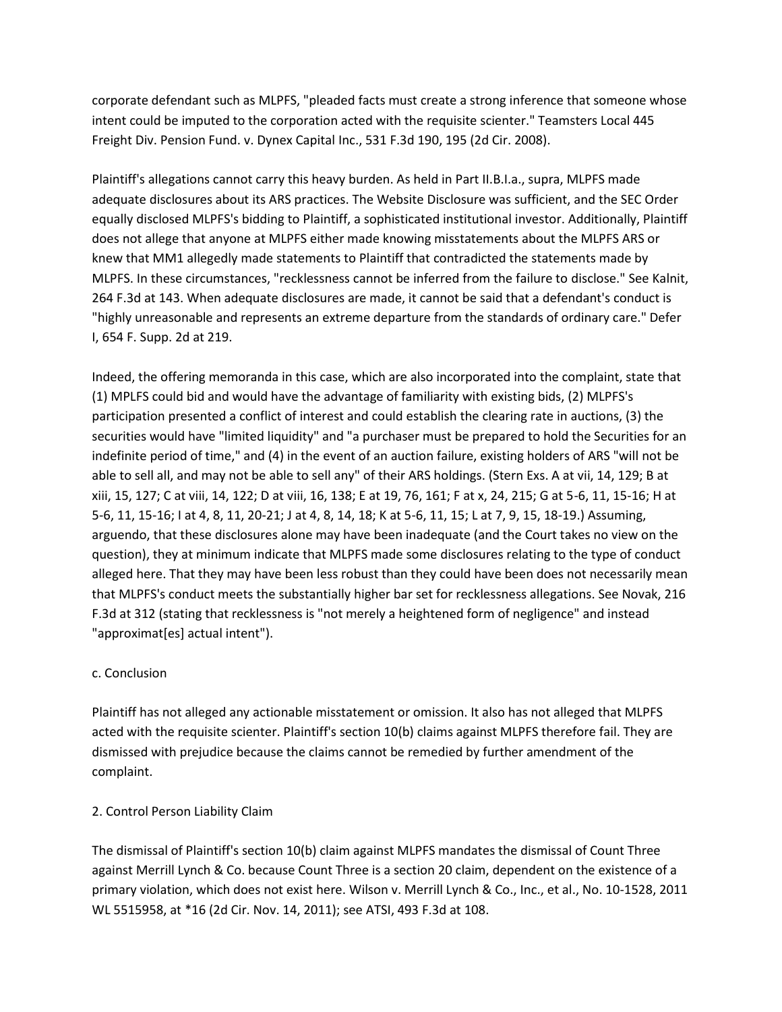corporate defendant such as MLPFS, "pleaded facts must create a strong inference that someone whose intent could be imputed to the corporation acted with the requisite scienter." Teamsters Local 445 Freight Div. Pension Fund. v. Dynex Capital Inc., 531 F.3d 190, 195 (2d Cir. 2008).

Plaintiff's allegations cannot carry this heavy burden. As held in Part II.B.I.a., supra, MLPFS made adequate disclosures about its ARS practices. The Website Disclosure was sufficient, and the SEC Order equally disclosed MLPFS's bidding to Plaintiff, a sophisticated institutional investor. Additionally, Plaintiff does not allege that anyone at MLPFS either made knowing misstatements about the MLPFS ARS or knew that MM1 allegedly made statements to Plaintiff that contradicted the statements made by MLPFS. In these circumstances, "recklessness cannot be inferred from the failure to disclose." See Kalnit, 264 F.3d at 143. When adequate disclosures are made, it cannot be said that a defendant's conduct is "highly unreasonable and represents an extreme departure from the standards of ordinary care." Defer I, 654 F. Supp. 2d at 219.

Indeed, the offering memoranda in this case, which are also incorporated into the complaint, state that (1) MPLFS could bid and would have the advantage of familiarity with existing bids, (2) MLPFS's participation presented a conflict of interest and could establish the clearing rate in auctions, (3) the securities would have "limited liquidity" and "a purchaser must be prepared to hold the Securities for an indefinite period of time," and (4) in the event of an auction failure, existing holders of ARS "will not be able to sell all, and may not be able to sell any" of their ARS holdings. (Stern Exs. A at vii, 14, 129; B at xiii, 15, 127; C at viii, 14, 122; D at viii, 16, 138; E at 19, 76, 161; F at x, 24, 215; G at 5-6, 11, 15-16; H at 5-6, 11, 15-16; I at 4, 8, 11, 20-21; J at 4, 8, 14, 18; K at 5-6, 11, 15; L at 7, 9, 15, 18-19.) Assuming, arguendo, that these disclosures alone may have been inadequate (and the Court takes no view on the question), they at minimum indicate that MLPFS made some disclosures relating to the type of conduct alleged here. That they may have been less robust than they could have been does not necessarily mean that MLPFS's conduct meets the substantially higher bar set for recklessness allegations. See Novak, 216 F.3d at 312 (stating that recklessness is "not merely a heightened form of negligence" and instead "approximat[es] actual intent").

# c. Conclusion

Plaintiff has not alleged any actionable misstatement or omission. It also has not alleged that MLPFS acted with the requisite scienter. Plaintiff's section 10(b) claims against MLPFS therefore fail. They are dismissed with prejudice because the claims cannot be remedied by further amendment of the complaint.

## 2. Control Person Liability Claim

The dismissal of Plaintiff's section 10(b) claim against MLPFS mandates the dismissal of Count Three against Merrill Lynch & Co. because Count Three is a section 20 claim, dependent on the existence of a primary violation, which does not exist here. Wilson v. Merrill Lynch & Co., Inc., et al., No. 10-1528, 2011 WL 5515958, at \*16 (2d Cir. Nov. 14, 2011); see ATSI, 493 F.3d at 108.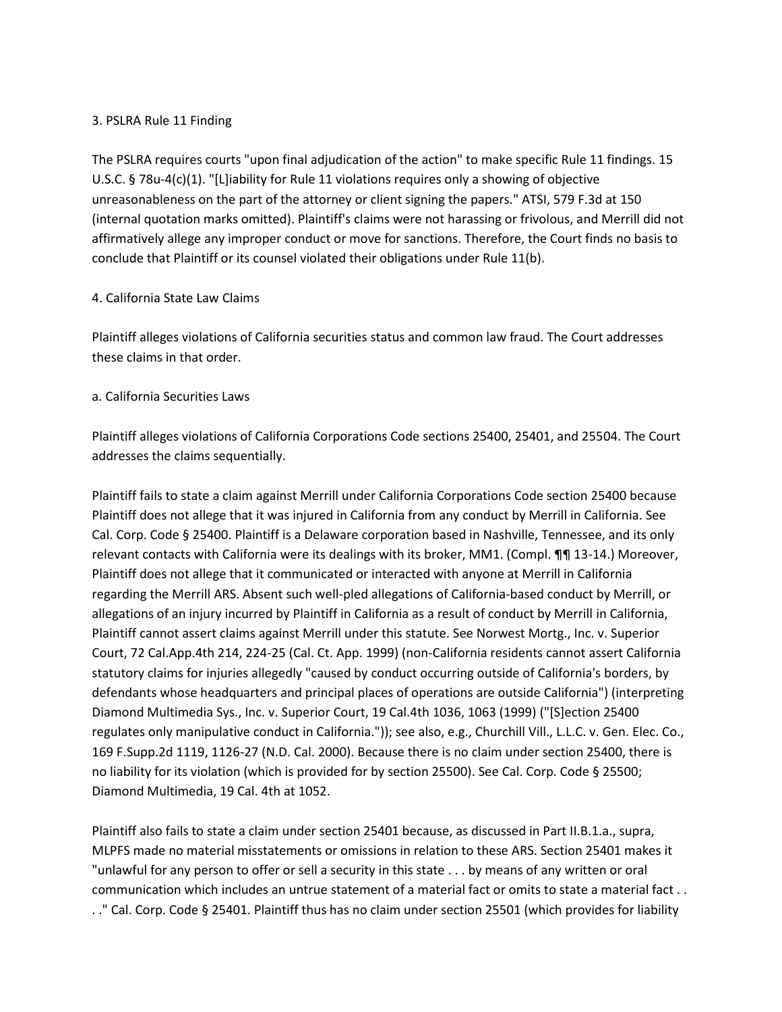## 3. PSLRA Rule 11 Finding

The PSLRA requires courts "upon final adjudication of the action" to make specific Rule 11 findings. 15 U.S.C. § 78u-4(c)(1). "[L]iability for Rule 11 violations requires only a showing of objective unreasonableness on the part of the attorney or client signing the papers." ATSI, 579 F.3d at 150 (internal quotation marks omitted). Plaintiff's claims were not harassing or frivolous, and Merrill did not affirmatively allege any improper conduct or move for sanctions. Therefore, the Court finds no basis to conclude that Plaintiff or its counsel violated their obligations under Rule 11(b).

## 4. California State Law Claims

Plaintiff alleges violations of California securities status and common law fraud. The Court addresses these claims in that order.

## a. California Securities Laws

Plaintiff alleges violations of California Corporations Code sections 25400, 25401, and 25504. The Court addresses the claims sequentially.

Plaintiff fails to state a claim against Merrill under California Corporations Code section 25400 because Plaintiff does not allege that it was injured in California from any conduct by Merrill in California. See Cal. Corp. Code § 25400. Plaintiff is a Delaware corporation based in Nashville, Tennessee, and its only relevant contacts with California were its dealings with its broker, MM1. (Compl. ¶¶ 13-14.) Moreover, Plaintiff does not allege that it communicated or interacted with anyone at Merrill in California regarding the Merrill ARS. Absent such well-pled allegations of California-based conduct by Merrill, or allegations of an injury incurred by Plaintiff in California as a result of conduct by Merrill in California, Plaintiff cannot assert claims against Merrill under this statute. See Norwest Mortg., Inc. v. Superior Court, 72 Cal.App.4th 214, 224-25 (Cal. Ct. App. 1999) (non-California residents cannot assert California statutory claims for injuries allegedly "caused by conduct occurring outside of California's borders, by defendants whose headquarters and principal places of operations are outside California") (interpreting Diamond Multimedia Sys., Inc. v. Superior Court, 19 Cal.4th 1036, 1063 (1999) ("[S]ection 25400 regulates only manipulative conduct in California.")); see also, e.g., Churchill Vill., L.L.C. v. Gen. Elec. Co., 169 F.Supp.2d 1119, 1126-27 (N.D. Cal. 2000). Because there is no claim under section 25400, there is no liability for its violation (which is provided for by section 25500). See Cal. Corp. Code § 25500; Diamond Multimedia, 19 Cal. 4th at 1052.

Plaintiff also fails to state a claim under section 25401 because, as discussed in Part II.B.1.a., supra, MLPFS made no material misstatements or omissions in relation to these ARS. Section 25401 makes it "unlawful for any person to offer or sell a security in this state . . . by means of any written or oral communication which includes an untrue statement of a material fact or omits to state a material fact . . . ." Cal. Corp. Code § 25401. Plaintiff thus has no claim under section 25501 (which provides for liability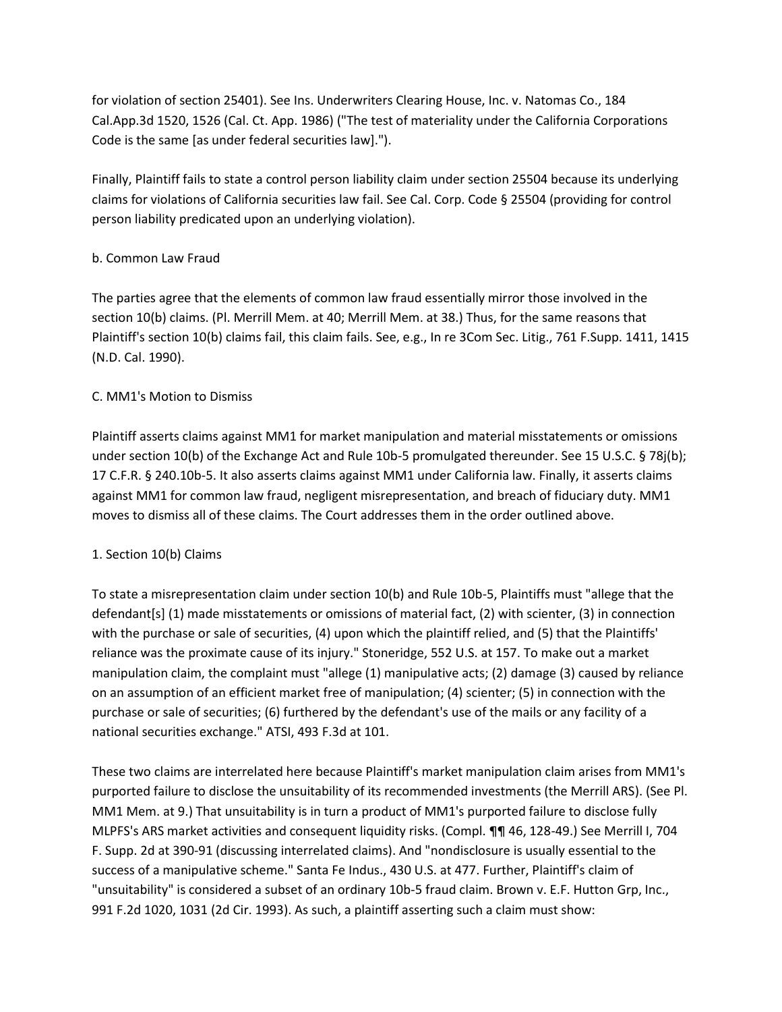for violation of section 25401). See Ins. Underwriters Clearing House, Inc. v. Natomas Co., 184 Cal.App.3d 1520, 1526 (Cal. Ct. App. 1986) ("The test of materiality under the California Corporations Code is the same [as under federal securities law].").

Finally, Plaintiff fails to state a control person liability claim under section 25504 because its underlying claims for violations of California securities law fail. See Cal. Corp. Code § 25504 (providing for control person liability predicated upon an underlying violation).

# b. Common Law Fraud

The parties agree that the elements of common law fraud essentially mirror those involved in the section 10(b) claims. (Pl. Merrill Mem. at 40; Merrill Mem. at 38.) Thus, for the same reasons that Plaintiff's section 10(b) claims fail, this claim fails. See, e.g., In re 3Com Sec. Litig., 761 F.Supp. 1411, 1415 (N.D. Cal. 1990).

# C. MM1's Motion to Dismiss

Plaintiff asserts claims against MM1 for market manipulation and material misstatements or omissions under section 10(b) of the Exchange Act and Rule 10b-5 promulgated thereunder. See 15 U.S.C. § 78j(b); 17 C.F.R. § 240.10b-5. It also asserts claims against MM1 under California law. Finally, it asserts claims against MM1 for common law fraud, negligent misrepresentation, and breach of fiduciary duty. MM1 moves to dismiss all of these claims. The Court addresses them in the order outlined above.

# 1. Section 10(b) Claims

To state a misrepresentation claim under section 10(b) and Rule 10b-5, Plaintiffs must "allege that the defendant[s] (1) made misstatements or omissions of material fact, (2) with scienter, (3) in connection with the purchase or sale of securities, (4) upon which the plaintiff relied, and (5) that the Plaintiffs' reliance was the proximate cause of its injury." Stoneridge, 552 U.S. at 157. To make out a market manipulation claim, the complaint must "allege (1) manipulative acts; (2) damage (3) caused by reliance on an assumption of an efficient market free of manipulation; (4) scienter; (5) in connection with the purchase or sale of securities; (6) furthered by the defendant's use of the mails or any facility of a national securities exchange." ATSI, 493 F.3d at 101.

These two claims are interrelated here because Plaintiff's market manipulation claim arises from MM1's purported failure to disclose the unsuitability of its recommended investments (the Merrill ARS). (See Pl. MM1 Mem. at 9.) That unsuitability is in turn a product of MM1's purported failure to disclose fully MLPFS's ARS market activities and consequent liquidity risks. (Compl. ¶¶ 46, 128-49.) See Merrill I, 704 F. Supp. 2d at 390-91 (discussing interrelated claims). And "nondisclosure is usually essential to the success of a manipulative scheme." Santa Fe Indus., 430 U.S. at 477. Further, Plaintiff's claim of "unsuitability" is considered a subset of an ordinary 10b-5 fraud claim. Brown v. E.F. Hutton Grp, Inc., 991 F.2d 1020, 1031 (2d Cir. 1993). As such, a plaintiff asserting such a claim must show: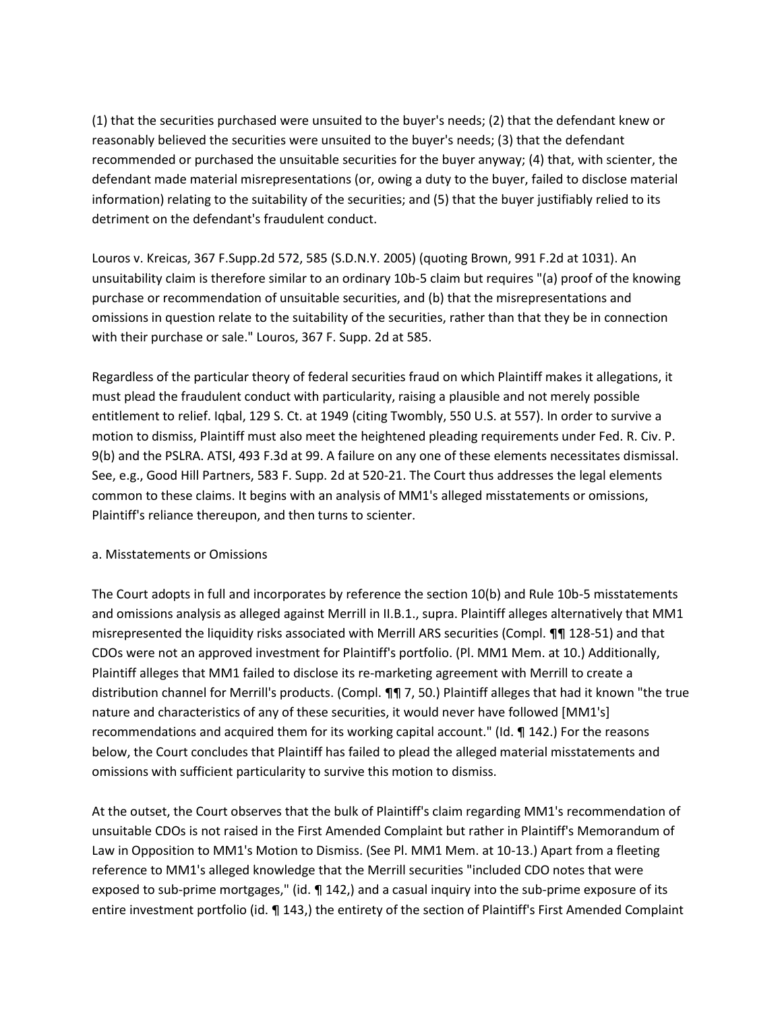(1) that the securities purchased were unsuited to the buyer's needs; (2) that the defendant knew or reasonably believed the securities were unsuited to the buyer's needs; (3) that the defendant recommended or purchased the unsuitable securities for the buyer anyway; (4) that, with scienter, the defendant made material misrepresentations (or, owing a duty to the buyer, failed to disclose material information) relating to the suitability of the securities; and (5) that the buyer justifiably relied to its detriment on the defendant's fraudulent conduct.

Louros v. Kreicas, 367 F.Supp.2d 572, 585 (S.D.N.Y. 2005) (quoting Brown, 991 F.2d at 1031). An unsuitability claim is therefore similar to an ordinary 10b-5 claim but requires "(a) proof of the knowing purchase or recommendation of unsuitable securities, and (b) that the misrepresentations and omissions in question relate to the suitability of the securities, rather than that they be in connection with their purchase or sale." Louros, 367 F. Supp. 2d at 585.

Regardless of the particular theory of federal securities fraud on which Plaintiff makes it allegations, it must plead the fraudulent conduct with particularity, raising a plausible and not merely possible entitlement to relief. Iqbal, 129 S. Ct. at 1949 (citing Twombly, 550 U.S. at 557). In order to survive a motion to dismiss, Plaintiff must also meet the heightened pleading requirements under Fed. R. Civ. P. 9(b) and the PSLRA. ATSI, 493 F.3d at 99. A failure on any one of these elements necessitates dismissal. See, e.g., Good Hill Partners, 583 F. Supp. 2d at 520-21. The Court thus addresses the legal elements common to these claims. It begins with an analysis of MM1's alleged misstatements or omissions, Plaintiff's reliance thereupon, and then turns to scienter.

## a. Misstatements or Omissions

The Court adopts in full and incorporates by reference the section 10(b) and Rule 10b-5 misstatements and omissions analysis as alleged against Merrill in II.B.1., supra. Plaintiff alleges alternatively that MM1 misrepresented the liquidity risks associated with Merrill ARS securities (Compl. ¶¶ 128-51) and that CDOs were not an approved investment for Plaintiff's portfolio. (Pl. MM1 Mem. at 10.) Additionally, Plaintiff alleges that MM1 failed to disclose its re-marketing agreement with Merrill to create a distribution channel for Merrill's products. (Compl. ¶¶ 7, 50.) Plaintiff alleges that had it known "the true nature and characteristics of any of these securities, it would never have followed [MM1's] recommendations and acquired them for its working capital account." (Id. ¶ 142.) For the reasons below, the Court concludes that Plaintiff has failed to plead the alleged material misstatements and omissions with sufficient particularity to survive this motion to dismiss.

At the outset, the Court observes that the bulk of Plaintiff's claim regarding MM1's recommendation of unsuitable CDOs is not raised in the First Amended Complaint but rather in Plaintiff's Memorandum of Law in Opposition to MM1's Motion to Dismiss. (See Pl. MM1 Mem. at 10-13.) Apart from a fleeting reference to MM1's alleged knowledge that the Merrill securities "included CDO notes that were exposed to sub-prime mortgages," (id.  $\P$  142,) and a casual inquiry into the sub-prime exposure of its entire investment portfolio (id. ¶ 143,) the entirety of the section of Plaintiff's First Amended Complaint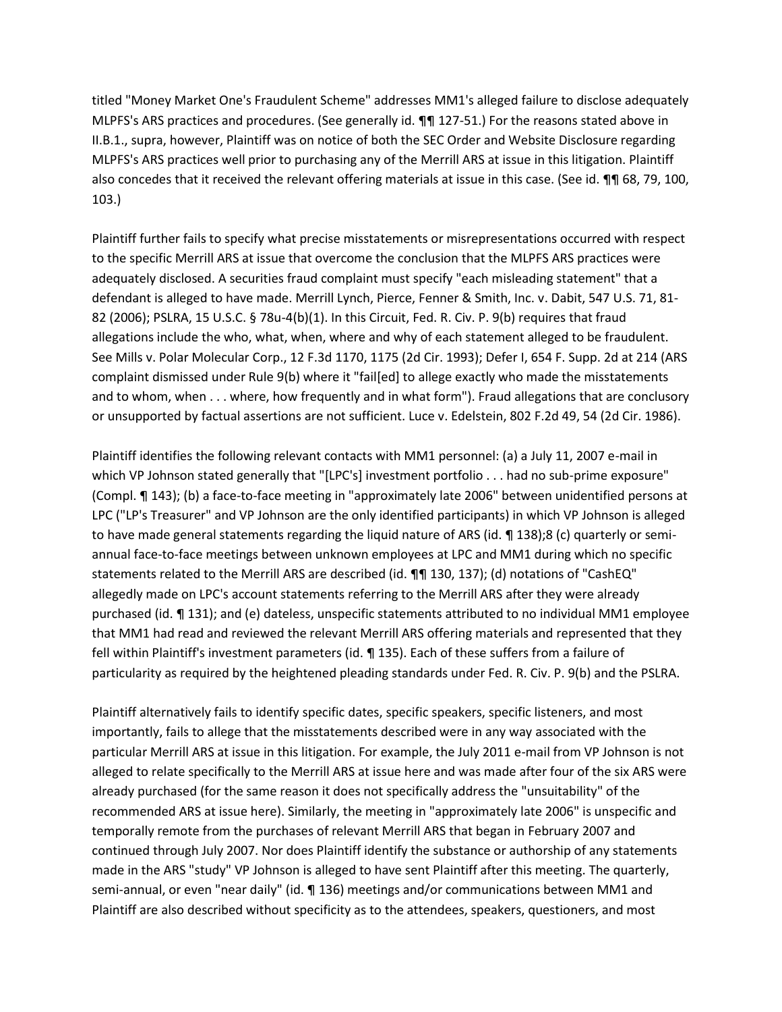titled "Money Market One's Fraudulent Scheme" addresses MM1's alleged failure to disclose adequately MLPFS's ARS practices and procedures. (See generally id. ¶¶ 127-51.) For the reasons stated above in II.B.1., supra, however, Plaintiff was on notice of both the SEC Order and Website Disclosure regarding MLPFS's ARS practices well prior to purchasing any of the Merrill ARS at issue in this litigation. Plaintiff also concedes that it received the relevant offering materials at issue in this case. (See id. ¶¶ 68, 79, 100, 103.)

Plaintiff further fails to specify what precise misstatements or misrepresentations occurred with respect to the specific Merrill ARS at issue that overcome the conclusion that the MLPFS ARS practices were adequately disclosed. A securities fraud complaint must specify "each misleading statement" that a defendant is alleged to have made. Merrill Lynch, Pierce, Fenner & Smith, Inc. v. Dabit, 547 U.S. 71, 81- 82 (2006); PSLRA, 15 U.S.C. § 78u-4(b)(1). In this Circuit, Fed. R. Civ. P. 9(b) requires that fraud allegations include the who, what, when, where and why of each statement alleged to be fraudulent. See Mills v. Polar Molecular Corp., 12 F.3d 1170, 1175 (2d Cir. 1993); Defer I, 654 F. Supp. 2d at 214 (ARS complaint dismissed under Rule 9(b) where it "fail[ed] to allege exactly who made the misstatements and to whom, when . . . where, how frequently and in what form"). Fraud allegations that are conclusory or unsupported by factual assertions are not sufficient. Luce v. Edelstein, 802 F.2d 49, 54 (2d Cir. 1986).

Plaintiff identifies the following relevant contacts with MM1 personnel: (a) a July 11, 2007 e-mail in which VP Johnson stated generally that "[LPC's] investment portfolio . . . had no sub-prime exposure" (Compl. ¶ 143); (b) a face-to-face meeting in "approximately late 2006" between unidentified persons at LPC ("LP's Treasurer" and VP Johnson are the only identified participants) in which VP Johnson is alleged to have made general statements regarding the liquid nature of ARS (id. ¶ 138);8 (c) quarterly or semiannual face-to-face meetings between unknown employees at LPC and MM1 during which no specific statements related to the Merrill ARS are described (id. ¶¶ 130, 137); (d) notations of "CashEQ" allegedly made on LPC's account statements referring to the Merrill ARS after they were already purchased (id. ¶ 131); and (e) dateless, unspecific statements attributed to no individual MM1 employee that MM1 had read and reviewed the relevant Merrill ARS offering materials and represented that they fell within Plaintiff's investment parameters (id. ¶ 135). Each of these suffers from a failure of particularity as required by the heightened pleading standards under Fed. R. Civ. P. 9(b) and the PSLRA.

Plaintiff alternatively fails to identify specific dates, specific speakers, specific listeners, and most importantly, fails to allege that the misstatements described were in any way associated with the particular Merrill ARS at issue in this litigation. For example, the July 2011 e-mail from VP Johnson is not alleged to relate specifically to the Merrill ARS at issue here and was made after four of the six ARS were already purchased (for the same reason it does not specifically address the "unsuitability" of the recommended ARS at issue here). Similarly, the meeting in "approximately late 2006" is unspecific and temporally remote from the purchases of relevant Merrill ARS that began in February 2007 and continued through July 2007. Nor does Plaintiff identify the substance or authorship of any statements made in the ARS "study" VP Johnson is alleged to have sent Plaintiff after this meeting. The quarterly, semi-annual, or even "near daily" (id. ¶ 136) meetings and/or communications between MM1 and Plaintiff are also described without specificity as to the attendees, speakers, questioners, and most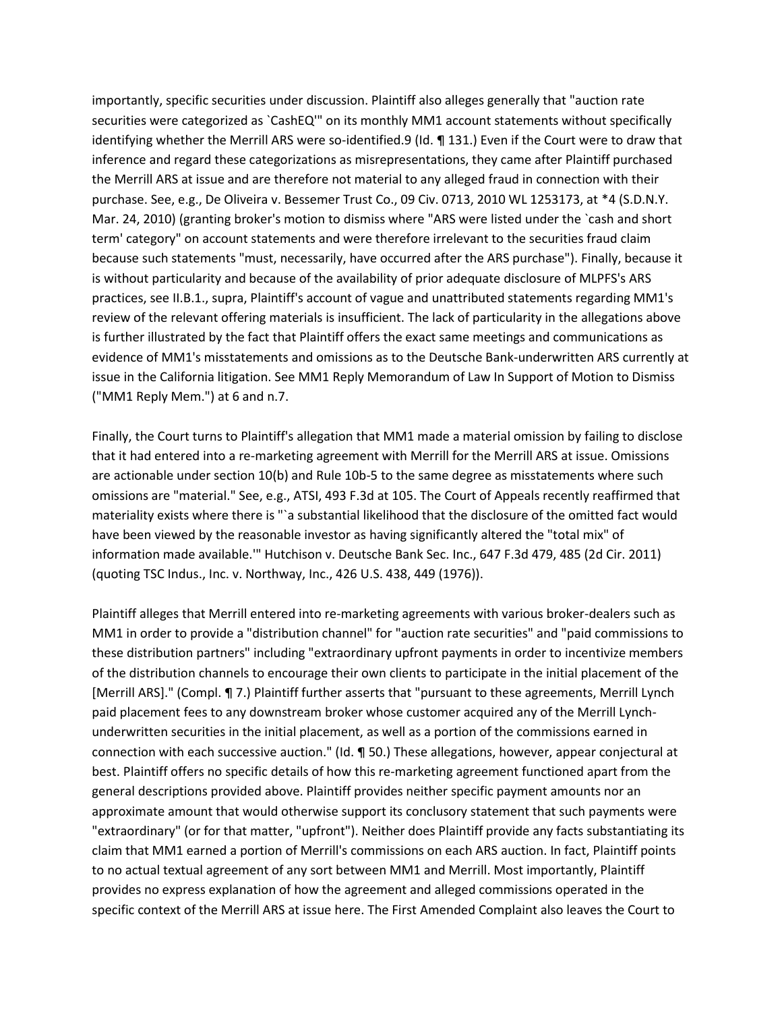importantly, specific securities under discussion. Plaintiff also alleges generally that "auction rate securities were categorized as `CashEQ'" on its monthly MM1 account statements without specifically identifying whether the Merrill ARS were so-identified.9 (Id. ¶ 131.) Even if the Court were to draw that inference and regard these categorizations as misrepresentations, they came after Plaintiff purchased the Merrill ARS at issue and are therefore not material to any alleged fraud in connection with their purchase. See, e.g., De Oliveira v. Bessemer Trust Co., 09 Civ. 0713, 2010 WL 1253173, at \*4 (S.D.N.Y. Mar. 24, 2010) (granting broker's motion to dismiss where "ARS were listed under the `cash and short term' category" on account statements and were therefore irrelevant to the securities fraud claim because such statements "must, necessarily, have occurred after the ARS purchase"). Finally, because it is without particularity and because of the availability of prior adequate disclosure of MLPFS's ARS practices, see II.B.1., supra, Plaintiff's account of vague and unattributed statements regarding MM1's review of the relevant offering materials is insufficient. The lack of particularity in the allegations above is further illustrated by the fact that Plaintiff offers the exact same meetings and communications as evidence of MM1's misstatements and omissions as to the Deutsche Bank-underwritten ARS currently at issue in the California litigation. See MM1 Reply Memorandum of Law In Support of Motion to Dismiss ("MM1 Reply Mem.") at 6 and n.7.

Finally, the Court turns to Plaintiff's allegation that MM1 made a material omission by failing to disclose that it had entered into a re-marketing agreement with Merrill for the Merrill ARS at issue. Omissions are actionable under section 10(b) and Rule 10b-5 to the same degree as misstatements where such omissions are "material." See, e.g., ATSI, 493 F.3d at 105. The Court of Appeals recently reaffirmed that materiality exists where there is "`a substantial likelihood that the disclosure of the omitted fact would have been viewed by the reasonable investor as having significantly altered the "total mix" of information made available.'" Hutchison v. Deutsche Bank Sec. Inc., 647 F.3d 479, 485 (2d Cir. 2011) (quoting TSC Indus., Inc. v. Northway, Inc., 426 U.S. 438, 449 (1976)).

Plaintiff alleges that Merrill entered into re-marketing agreements with various broker-dealers such as MM1 in order to provide a "distribution channel" for "auction rate securities" and "paid commissions to these distribution partners" including "extraordinary upfront payments in order to incentivize members of the distribution channels to encourage their own clients to participate in the initial placement of the [Merrill ARS]." (Compl. ¶ 7.) Plaintiff further asserts that "pursuant to these agreements, Merrill Lynch paid placement fees to any downstream broker whose customer acquired any of the Merrill Lynchunderwritten securities in the initial placement, as well as a portion of the commissions earned in connection with each successive auction." (Id. ¶ 50.) These allegations, however, appear conjectural at best. Plaintiff offers no specific details of how this re-marketing agreement functioned apart from the general descriptions provided above. Plaintiff provides neither specific payment amounts nor an approximate amount that would otherwise support its conclusory statement that such payments were "extraordinary" (or for that matter, "upfront"). Neither does Plaintiff provide any facts substantiating its claim that MM1 earned a portion of Merrill's commissions on each ARS auction. In fact, Plaintiff points to no actual textual agreement of any sort between MM1 and Merrill. Most importantly, Plaintiff provides no express explanation of how the agreement and alleged commissions operated in the specific context of the Merrill ARS at issue here. The First Amended Complaint also leaves the Court to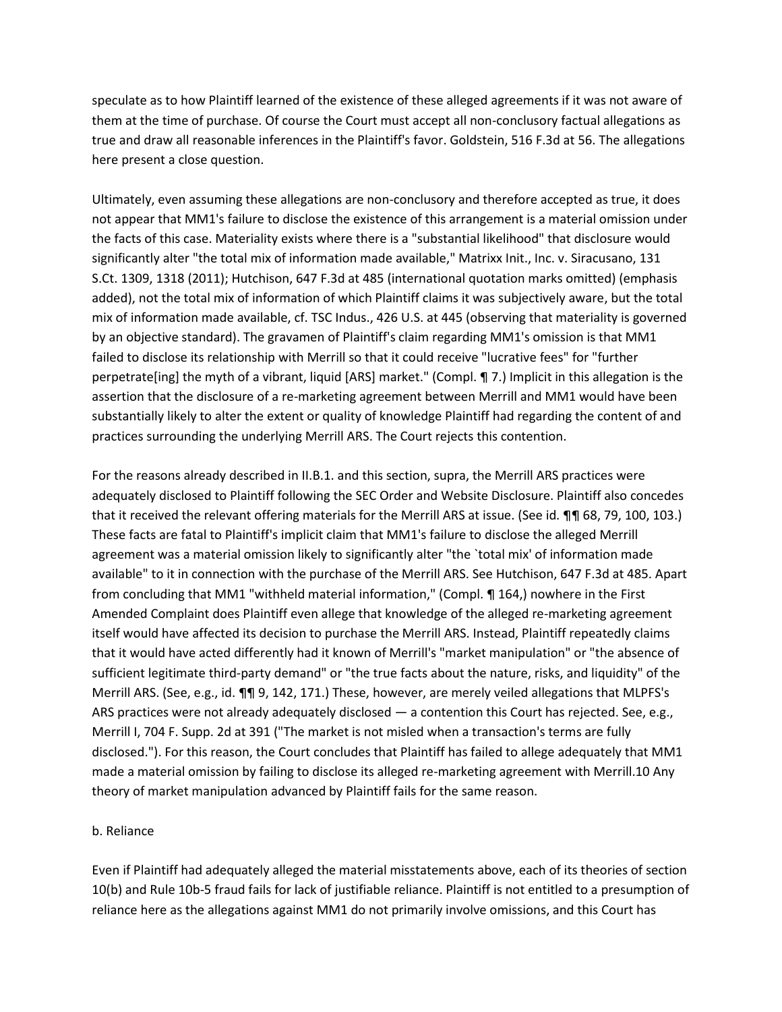speculate as to how Plaintiff learned of the existence of these alleged agreements if it was not aware of them at the time of purchase. Of course the Court must accept all non-conclusory factual allegations as true and draw all reasonable inferences in the Plaintiff's favor. Goldstein, 516 F.3d at 56. The allegations here present a close question.

Ultimately, even assuming these allegations are non-conclusory and therefore accepted as true, it does not appear that MM1's failure to disclose the existence of this arrangement is a material omission under the facts of this case. Materiality exists where there is a "substantial likelihood" that disclosure would significantly alter "the total mix of information made available," Matrixx Init., Inc. v. Siracusano, 131 S.Ct. 1309, 1318 (2011); Hutchison, 647 F.3d at 485 (international quotation marks omitted) (emphasis added), not the total mix of information of which Plaintiff claims it was subjectively aware, but the total mix of information made available, cf. TSC Indus., 426 U.S. at 445 (observing that materiality is governed by an objective standard). The gravamen of Plaintiff's claim regarding MM1's omission is that MM1 failed to disclose its relationship with Merrill so that it could receive "lucrative fees" for "further perpetrate[ing] the myth of a vibrant, liquid [ARS] market." (Compl. ¶ 7.) Implicit in this allegation is the assertion that the disclosure of a re-marketing agreement between Merrill and MM1 would have been substantially likely to alter the extent or quality of knowledge Plaintiff had regarding the content of and practices surrounding the underlying Merrill ARS. The Court rejects this contention.

For the reasons already described in II.B.1. and this section, supra, the Merrill ARS practices were adequately disclosed to Plaintiff following the SEC Order and Website Disclosure. Plaintiff also concedes that it received the relevant offering materials for the Merrill ARS at issue. (See id. ¶¶ 68, 79, 100, 103.) These facts are fatal to Plaintiff's implicit claim that MM1's failure to disclose the alleged Merrill agreement was a material omission likely to significantly alter "the `total mix' of information made available" to it in connection with the purchase of the Merrill ARS. See Hutchison, 647 F.3d at 485. Apart from concluding that MM1 "withheld material information," (Compl. ¶ 164,) nowhere in the First Amended Complaint does Plaintiff even allege that knowledge of the alleged re-marketing agreement itself would have affected its decision to purchase the Merrill ARS. Instead, Plaintiff repeatedly claims that it would have acted differently had it known of Merrill's "market manipulation" or "the absence of sufficient legitimate third-party demand" or "the true facts about the nature, risks, and liquidity" of the Merrill ARS. (See, e.g., id. ¶¶ 9, 142, 171.) These, however, are merely veiled allegations that MLPFS's ARS practices were not already adequately disclosed — a contention this Court has rejected. See, e.g., Merrill I, 704 F. Supp. 2d at 391 ("The market is not misled when a transaction's terms are fully disclosed."). For this reason, the Court concludes that Plaintiff has failed to allege adequately that MM1 made a material omission by failing to disclose its alleged re-marketing agreement with Merrill.10 Any theory of market manipulation advanced by Plaintiff fails for the same reason.

#### b. Reliance

Even if Plaintiff had adequately alleged the material misstatements above, each of its theories of section 10(b) and Rule 10b-5 fraud fails for lack of justifiable reliance. Plaintiff is not entitled to a presumption of reliance here as the allegations against MM1 do not primarily involve omissions, and this Court has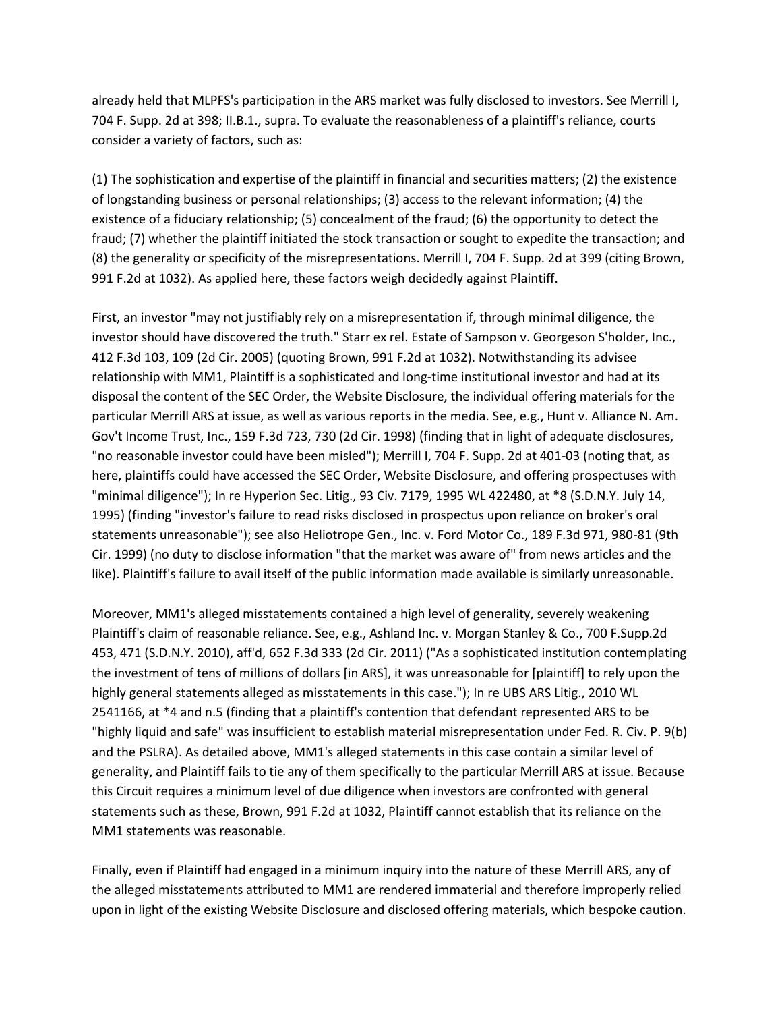already held that MLPFS's participation in the ARS market was fully disclosed to investors. See Merrill I, 704 F. Supp. 2d at 398; II.B.1., supra. To evaluate the reasonableness of a plaintiff's reliance, courts consider a variety of factors, such as:

(1) The sophistication and expertise of the plaintiff in financial and securities matters; (2) the existence of longstanding business or personal relationships; (3) access to the relevant information; (4) the existence of a fiduciary relationship; (5) concealment of the fraud; (6) the opportunity to detect the fraud; (7) whether the plaintiff initiated the stock transaction or sought to expedite the transaction; and (8) the generality or specificity of the misrepresentations. Merrill I, 704 F. Supp. 2d at 399 (citing Brown, 991 F.2d at 1032). As applied here, these factors weigh decidedly against Plaintiff.

First, an investor "may not justifiably rely on a misrepresentation if, through minimal diligence, the investor should have discovered the truth." Starr ex rel. Estate of Sampson v. Georgeson S'holder, Inc., 412 F.3d 103, 109 (2d Cir. 2005) (quoting Brown, 991 F.2d at 1032). Notwithstanding its advisee relationship with MM1, Plaintiff is a sophisticated and long-time institutional investor and had at its disposal the content of the SEC Order, the Website Disclosure, the individual offering materials for the particular Merrill ARS at issue, as well as various reports in the media. See, e.g., Hunt v. Alliance N. Am. Gov't Income Trust, Inc., 159 F.3d 723, 730 (2d Cir. 1998) (finding that in light of adequate disclosures, "no reasonable investor could have been misled"); Merrill I, 704 F. Supp. 2d at 401-03 (noting that, as here, plaintiffs could have accessed the SEC Order, Website Disclosure, and offering prospectuses with "minimal diligence"); In re Hyperion Sec. Litig., 93 Civ. 7179, 1995 WL 422480, at \*8 (S.D.N.Y. July 14, 1995) (finding "investor's failure to read risks disclosed in prospectus upon reliance on broker's oral statements unreasonable"); see also Heliotrope Gen., Inc. v. Ford Motor Co., 189 F.3d 971, 980-81 (9th Cir. 1999) (no duty to disclose information "that the market was aware of" from news articles and the like). Plaintiff's failure to avail itself of the public information made available is similarly unreasonable.

Moreover, MM1's alleged misstatements contained a high level of generality, severely weakening Plaintiff's claim of reasonable reliance. See, e.g., Ashland Inc. v. Morgan Stanley & Co., 700 F.Supp.2d 453, 471 (S.D.N.Y. 2010), aff'd, 652 F.3d 333 (2d Cir. 2011) ("As a sophisticated institution contemplating the investment of tens of millions of dollars [in ARS], it was unreasonable for [plaintiff] to rely upon the highly general statements alleged as misstatements in this case."); In re UBS ARS Litig., 2010 WL 2541166, at \*4 and n.5 (finding that a plaintiff's contention that defendant represented ARS to be "highly liquid and safe" was insufficient to establish material misrepresentation under Fed. R. Civ. P. 9(b) and the PSLRA). As detailed above, MM1's alleged statements in this case contain a similar level of generality, and Plaintiff fails to tie any of them specifically to the particular Merrill ARS at issue. Because this Circuit requires a minimum level of due diligence when investors are confronted with general statements such as these, Brown, 991 F.2d at 1032, Plaintiff cannot establish that its reliance on the MM1 statements was reasonable.

Finally, even if Plaintiff had engaged in a minimum inquiry into the nature of these Merrill ARS, any of the alleged misstatements attributed to MM1 are rendered immaterial and therefore improperly relied upon in light of the existing Website Disclosure and disclosed offering materials, which bespoke caution.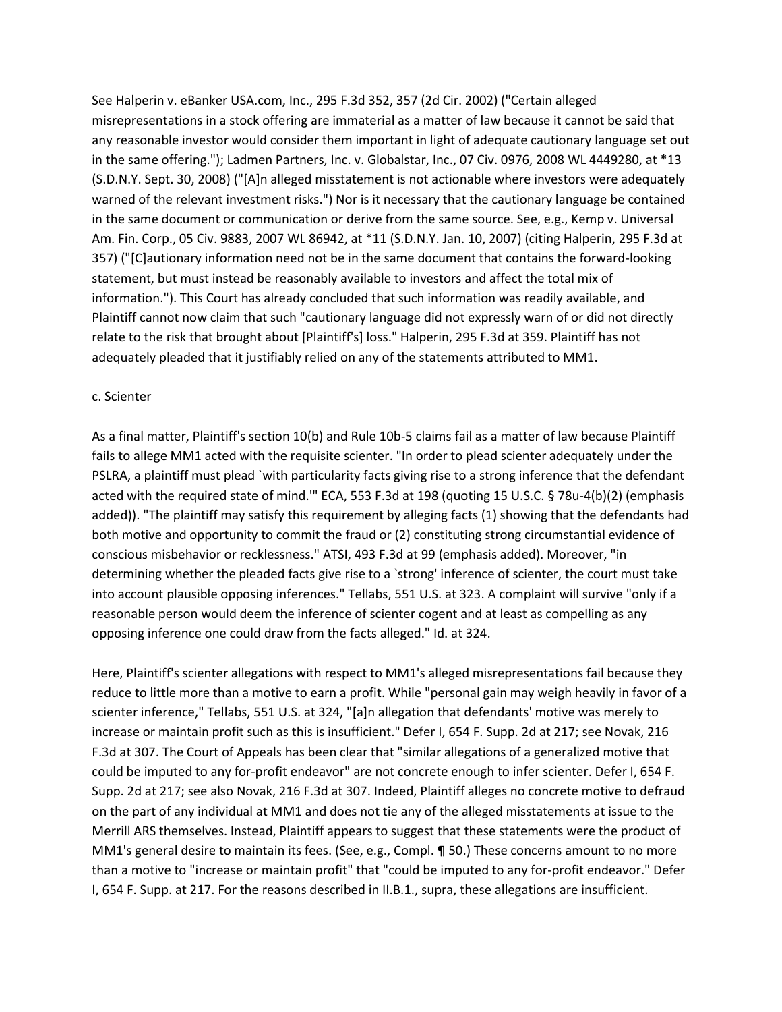See Halperin v. eBanker USA.com, Inc., 295 F.3d 352, 357 (2d Cir. 2002) ("Certain alleged misrepresentations in a stock offering are immaterial as a matter of law because it cannot be said that any reasonable investor would consider them important in light of adequate cautionary language set out in the same offering."); Ladmen Partners, Inc. v. Globalstar, Inc., 07 Civ. 0976, 2008 WL 4449280, at \*13 (S.D.N.Y. Sept. 30, 2008) ("[A]n alleged misstatement is not actionable where investors were adequately warned of the relevant investment risks.") Nor is it necessary that the cautionary language be contained in the same document or communication or derive from the same source. See, e.g., Kemp v. Universal Am. Fin. Corp., 05 Civ. 9883, 2007 WL 86942, at \*11 (S.D.N.Y. Jan. 10, 2007) (citing Halperin, 295 F.3d at 357) ("[C]autionary information need not be in the same document that contains the forward-looking statement, but must instead be reasonably available to investors and affect the total mix of information."). This Court has already concluded that such information was readily available, and Plaintiff cannot now claim that such "cautionary language did not expressly warn of or did not directly relate to the risk that brought about [Plaintiff's] loss." Halperin, 295 F.3d at 359. Plaintiff has not adequately pleaded that it justifiably relied on any of the statements attributed to MM1.

#### c. Scienter

As a final matter, Plaintiff's section 10(b) and Rule 10b-5 claims fail as a matter of law because Plaintiff fails to allege MM1 acted with the requisite scienter. "In order to plead scienter adequately under the PSLRA, a plaintiff must plead `with particularity facts giving rise to a strong inference that the defendant acted with the required state of mind.'" ECA, 553 F.3d at 198 (quoting 15 U.S.C. § 78u-4(b)(2) (emphasis added)). "The plaintiff may satisfy this requirement by alleging facts (1) showing that the defendants had both motive and opportunity to commit the fraud or (2) constituting strong circumstantial evidence of conscious misbehavior or recklessness." ATSI, 493 F.3d at 99 (emphasis added). Moreover, "in determining whether the pleaded facts give rise to a `strong' inference of scienter, the court must take into account plausible opposing inferences." Tellabs, 551 U.S. at 323. A complaint will survive "only if a reasonable person would deem the inference of scienter cogent and at least as compelling as any opposing inference one could draw from the facts alleged." Id. at 324.

Here, Plaintiff's scienter allegations with respect to MM1's alleged misrepresentations fail because they reduce to little more than a motive to earn a profit. While "personal gain may weigh heavily in favor of a scienter inference," Tellabs, 551 U.S. at 324, "[a]n allegation that defendants' motive was merely to increase or maintain profit such as this is insufficient." Defer I, 654 F. Supp. 2d at 217; see Novak, 216 F.3d at 307. The Court of Appeals has been clear that "similar allegations of a generalized motive that could be imputed to any for-profit endeavor" are not concrete enough to infer scienter. Defer I, 654 F. Supp. 2d at 217; see also Novak, 216 F.3d at 307. Indeed, Plaintiff alleges no concrete motive to defraud on the part of any individual at MM1 and does not tie any of the alleged misstatements at issue to the Merrill ARS themselves. Instead, Plaintiff appears to suggest that these statements were the product of MM1's general desire to maintain its fees. (See, e.g., Compl. ¶ 50.) These concerns amount to no more than a motive to "increase or maintain profit" that "could be imputed to any for-profit endeavor." Defer I, 654 F. Supp. at 217. For the reasons described in II.B.1., supra, these allegations are insufficient.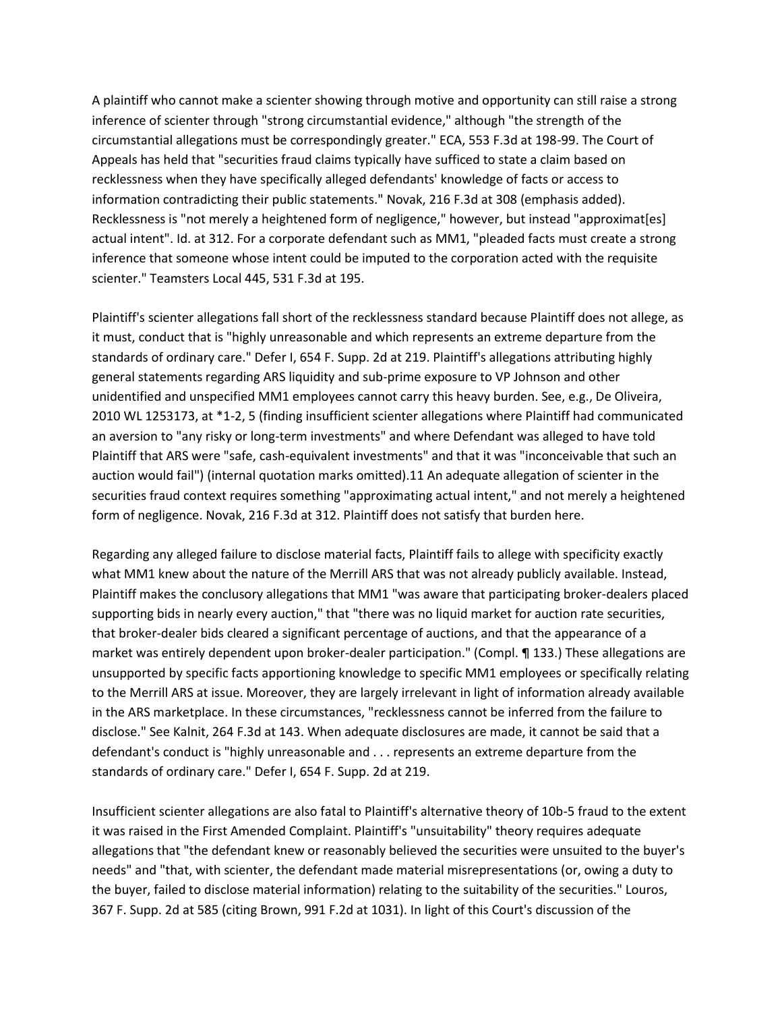A plaintiff who cannot make a scienter showing through motive and opportunity can still raise a strong inference of scienter through "strong circumstantial evidence," although "the strength of the circumstantial allegations must be correspondingly greater." ECA, 553 F.3d at 198-99. The Court of Appeals has held that "securities fraud claims typically have sufficed to state a claim based on recklessness when they have specifically alleged defendants' knowledge of facts or access to information contradicting their public statements." Novak, 216 F.3d at 308 (emphasis added). Recklessness is "not merely a heightened form of negligence," however, but instead "approximat[es] actual intent". Id. at 312. For a corporate defendant such as MM1, "pleaded facts must create a strong inference that someone whose intent could be imputed to the corporation acted with the requisite scienter." Teamsters Local 445, 531 F.3d at 195.

Plaintiff's scienter allegations fall short of the recklessness standard because Plaintiff does not allege, as it must, conduct that is "highly unreasonable and which represents an extreme departure from the standards of ordinary care." Defer I, 654 F. Supp. 2d at 219. Plaintiff's allegations attributing highly general statements regarding ARS liquidity and sub-prime exposure to VP Johnson and other unidentified and unspecified MM1 employees cannot carry this heavy burden. See, e.g., De Oliveira, 2010 WL 1253173, at \*1-2, 5 (finding insufficient scienter allegations where Plaintiff had communicated an aversion to "any risky or long-term investments" and where Defendant was alleged to have told Plaintiff that ARS were "safe, cash-equivalent investments" and that it was "inconceivable that such an auction would fail") (internal quotation marks omitted).11 An adequate allegation of scienter in the securities fraud context requires something "approximating actual intent," and not merely a heightened form of negligence. Novak, 216 F.3d at 312. Plaintiff does not satisfy that burden here.

Regarding any alleged failure to disclose material facts, Plaintiff fails to allege with specificity exactly what MM1 knew about the nature of the Merrill ARS that was not already publicly available. Instead, Plaintiff makes the conclusory allegations that MM1 "was aware that participating broker-dealers placed supporting bids in nearly every auction," that "there was no liquid market for auction rate securities, that broker-dealer bids cleared a significant percentage of auctions, and that the appearance of a market was entirely dependent upon broker-dealer participation." (Compl. ¶ 133.) These allegations are unsupported by specific facts apportioning knowledge to specific MM1 employees or specifically relating to the Merrill ARS at issue. Moreover, they are largely irrelevant in light of information already available in the ARS marketplace. In these circumstances, "recklessness cannot be inferred from the failure to disclose." See Kalnit, 264 F.3d at 143. When adequate disclosures are made, it cannot be said that a defendant's conduct is "highly unreasonable and . . . represents an extreme departure from the standards of ordinary care." Defer I, 654 F. Supp. 2d at 219.

Insufficient scienter allegations are also fatal to Plaintiff's alternative theory of 10b-5 fraud to the extent it was raised in the First Amended Complaint. Plaintiff's "unsuitability" theory requires adequate allegations that "the defendant knew or reasonably believed the securities were unsuited to the buyer's needs" and "that, with scienter, the defendant made material misrepresentations (or, owing a duty to the buyer, failed to disclose material information) relating to the suitability of the securities." Louros, 367 F. Supp. 2d at 585 (citing Brown, 991 F.2d at 1031). In light of this Court's discussion of the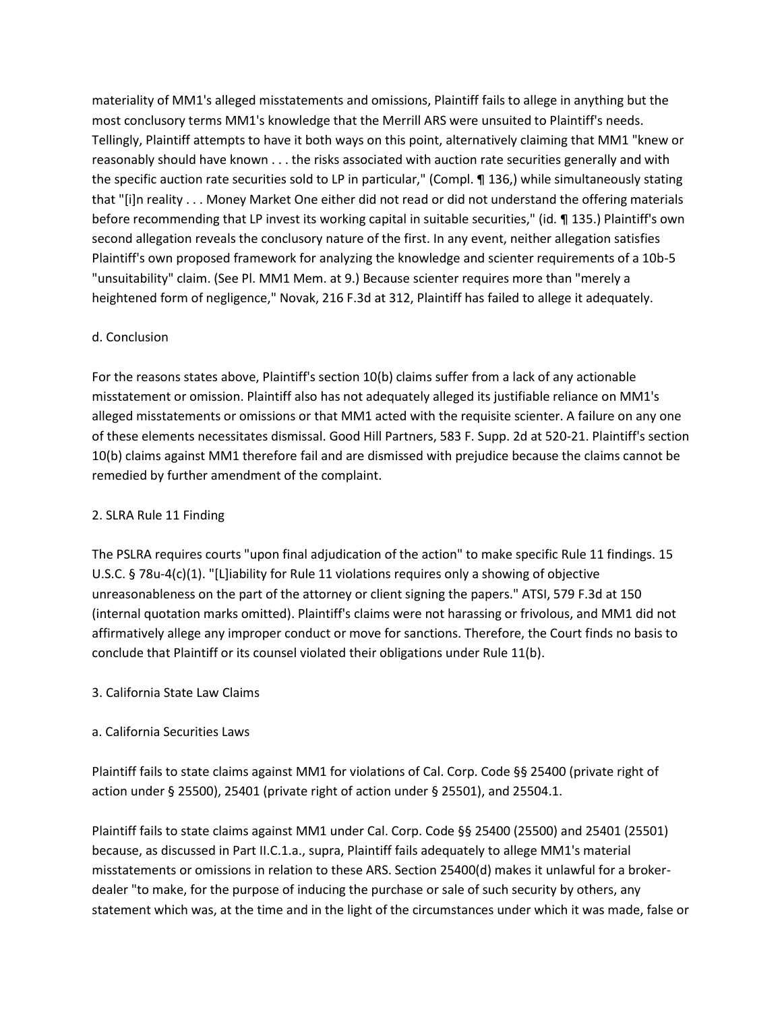materiality of MM1's alleged misstatements and omissions, Plaintiff fails to allege in anything but the most conclusory terms MM1's knowledge that the Merrill ARS were unsuited to Plaintiff's needs. Tellingly, Plaintiff attempts to have it both ways on this point, alternatively claiming that MM1 "knew or reasonably should have known . . . the risks associated with auction rate securities generally and with the specific auction rate securities sold to LP in particular," (Compl. ¶ 136,) while simultaneously stating that "[i]n reality . . . Money Market One either did not read or did not understand the offering materials before recommending that LP invest its working capital in suitable securities," (id. ¶ 135.) Plaintiff's own second allegation reveals the conclusory nature of the first. In any event, neither allegation satisfies Plaintiff's own proposed framework for analyzing the knowledge and scienter requirements of a 10b-5 "unsuitability" claim. (See Pl. MM1 Mem. at 9.) Because scienter requires more than "merely a heightened form of negligence," Novak, 216 F.3d at 312, Plaintiff has failed to allege it adequately.

## d. Conclusion

For the reasons states above, Plaintiff's section 10(b) claims suffer from a lack of any actionable misstatement or omission. Plaintiff also has not adequately alleged its justifiable reliance on MM1's alleged misstatements or omissions or that MM1 acted with the requisite scienter. A failure on any one of these elements necessitates dismissal. Good Hill Partners, 583 F. Supp. 2d at 520-21. Plaintiff's section 10(b) claims against MM1 therefore fail and are dismissed with prejudice because the claims cannot be remedied by further amendment of the complaint.

## 2. SLRA Rule 11 Finding

The PSLRA requires courts "upon final adjudication of the action" to make specific Rule 11 findings. 15 U.S.C. § 78u-4(c)(1). "[L]iability for Rule 11 violations requires only a showing of objective unreasonableness on the part of the attorney or client signing the papers." ATSI, 579 F.3d at 150 (internal quotation marks omitted). Plaintiff's claims were not harassing or frivolous, and MM1 did not affirmatively allege any improper conduct or move for sanctions. Therefore, the Court finds no basis to conclude that Plaintiff or its counsel violated their obligations under Rule 11(b).

## 3. California State Law Claims

## a. California Securities Laws

Plaintiff fails to state claims against MM1 for violations of Cal. Corp. Code §§ 25400 (private right of action under § 25500), 25401 (private right of action under § 25501), and 25504.1.

Plaintiff fails to state claims against MM1 under Cal. Corp. Code §§ 25400 (25500) and 25401 (25501) because, as discussed in Part II.C.1.a., supra, Plaintiff fails adequately to allege MM1's material misstatements or omissions in relation to these ARS. Section 25400(d) makes it unlawful for a brokerdealer "to make, for the purpose of inducing the purchase or sale of such security by others, any statement which was, at the time and in the light of the circumstances under which it was made, false or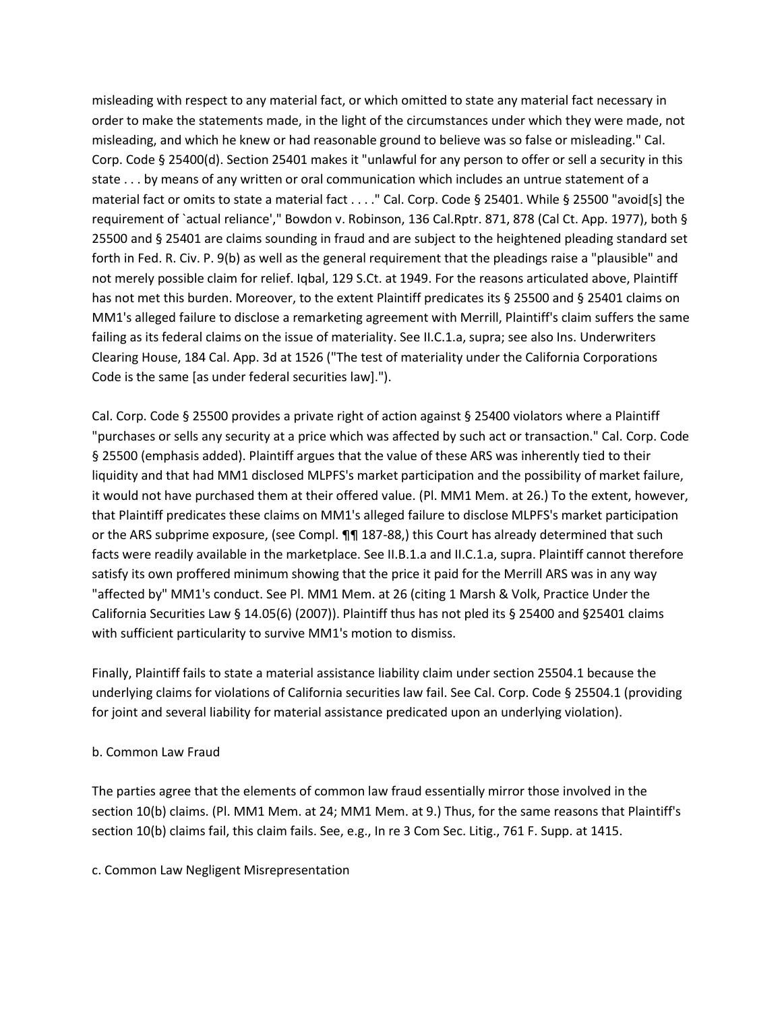misleading with respect to any material fact, or which omitted to state any material fact necessary in order to make the statements made, in the light of the circumstances under which they were made, not misleading, and which he knew or had reasonable ground to believe was so false or misleading." Cal. Corp. Code § 25400(d). Section 25401 makes it "unlawful for any person to offer or sell a security in this state . . . by means of any written or oral communication which includes an untrue statement of a material fact or omits to state a material fact . . . ." Cal. Corp. Code § 25401. While § 25500 "avoid[s] the requirement of `actual reliance'," Bowdon v. Robinson, 136 Cal.Rptr. 871, 878 (Cal Ct. App. 1977), both § 25500 and § 25401 are claims sounding in fraud and are subject to the heightened pleading standard set forth in Fed. R. Civ. P. 9(b) as well as the general requirement that the pleadings raise a "plausible" and not merely possible claim for relief. Iqbal, 129 S.Ct. at 1949. For the reasons articulated above, Plaintiff has not met this burden. Moreover, to the extent Plaintiff predicates its § 25500 and § 25401 claims on MM1's alleged failure to disclose a remarketing agreement with Merrill, Plaintiff's claim suffers the same failing as its federal claims on the issue of materiality. See II.C.1.a, supra; see also Ins. Underwriters Clearing House, 184 Cal. App. 3d at 1526 ("The test of materiality under the California Corporations Code is the same [as under federal securities law].").

Cal. Corp. Code § 25500 provides a private right of action against § 25400 violators where a Plaintiff "purchases or sells any security at a price which was affected by such act or transaction." Cal. Corp. Code § 25500 (emphasis added). Plaintiff argues that the value of these ARS was inherently tied to their liquidity and that had MM1 disclosed MLPFS's market participation and the possibility of market failure, it would not have purchased them at their offered value. (Pl. MM1 Mem. at 26.) To the extent, however, that Plaintiff predicates these claims on MM1's alleged failure to disclose MLPFS's market participation or the ARS subprime exposure, (see Compl. ¶¶ 187-88,) this Court has already determined that such facts were readily available in the marketplace. See II.B.1.a and II.C.1.a, supra. Plaintiff cannot therefore satisfy its own proffered minimum showing that the price it paid for the Merrill ARS was in any way "affected by" MM1's conduct. See Pl. MM1 Mem. at 26 (citing 1 Marsh & Volk, Practice Under the California Securities Law § 14.05(6) (2007)). Plaintiff thus has not pled its § 25400 and §25401 claims with sufficient particularity to survive MM1's motion to dismiss.

Finally, Plaintiff fails to state a material assistance liability claim under section 25504.1 because the underlying claims for violations of California securities law fail. See Cal. Corp. Code § 25504.1 (providing for joint and several liability for material assistance predicated upon an underlying violation).

## b. Common Law Fraud

The parties agree that the elements of common law fraud essentially mirror those involved in the section 10(b) claims. (Pl. MM1 Mem. at 24; MM1 Mem. at 9.) Thus, for the same reasons that Plaintiff's section 10(b) claims fail, this claim fails. See, e.g., In re 3 Com Sec. Litig., 761 F. Supp. at 1415.

c. Common Law Negligent Misrepresentation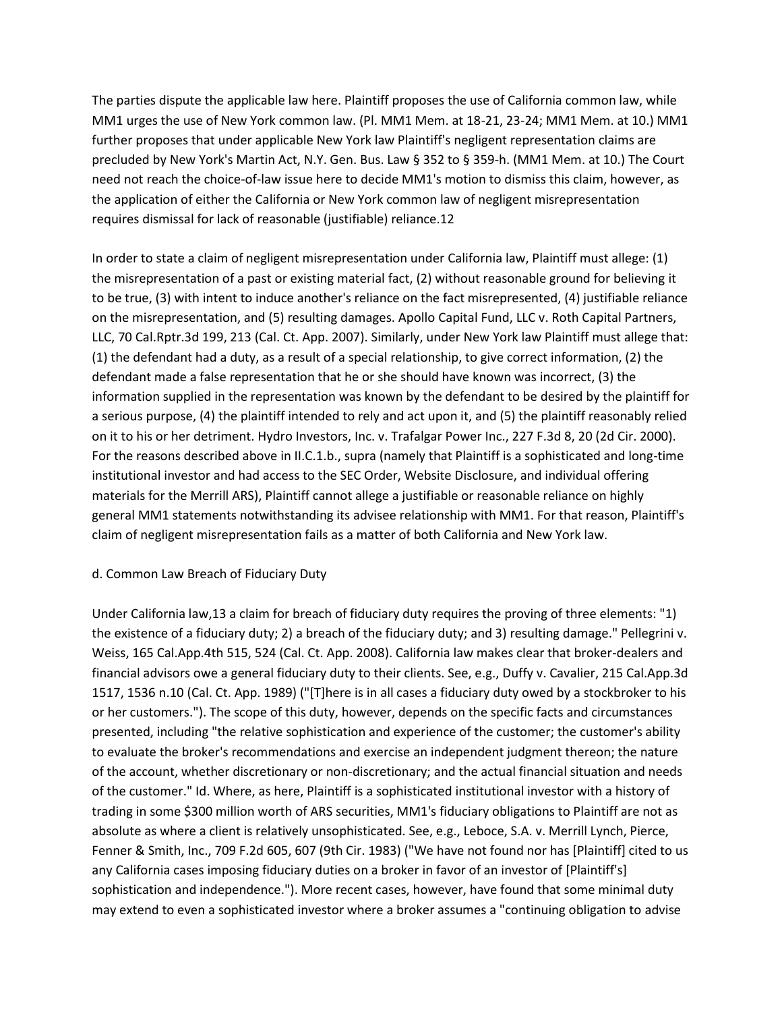The parties dispute the applicable law here. Plaintiff proposes the use of California common law, while MM1 urges the use of New York common law. (Pl. MM1 Mem. at 18-21, 23-24; MM1 Mem. at 10.) MM1 further proposes that under applicable New York law Plaintiff's negligent representation claims are precluded by New York's Martin Act, N.Y. Gen. Bus. Law § 352 to § 359-h. (MM1 Mem. at 10.) The Court need not reach the choice-of-law issue here to decide MM1's motion to dismiss this claim, however, as the application of either the California or New York common law of negligent misrepresentation requires dismissal for lack of reasonable (justifiable) reliance.12

In order to state a claim of negligent misrepresentation under California law, Plaintiff must allege: (1) the misrepresentation of a past or existing material fact, (2) without reasonable ground for believing it to be true, (3) with intent to induce another's reliance on the fact misrepresented, (4) justifiable reliance on the misrepresentation, and (5) resulting damages. Apollo Capital Fund, LLC v. Roth Capital Partners, LLC, 70 Cal.Rptr.3d 199, 213 (Cal. Ct. App. 2007). Similarly, under New York law Plaintiff must allege that: (1) the defendant had a duty, as a result of a special relationship, to give correct information, (2) the defendant made a false representation that he or she should have known was incorrect, (3) the information supplied in the representation was known by the defendant to be desired by the plaintiff for a serious purpose, (4) the plaintiff intended to rely and act upon it, and (5) the plaintiff reasonably relied on it to his or her detriment. Hydro Investors, Inc. v. Trafalgar Power Inc., 227 F.3d 8, 20 (2d Cir. 2000). For the reasons described above in II.C.1.b., supra (namely that Plaintiff is a sophisticated and long-time institutional investor and had access to the SEC Order, Website Disclosure, and individual offering materials for the Merrill ARS), Plaintiff cannot allege a justifiable or reasonable reliance on highly general MM1 statements notwithstanding its advisee relationship with MM1. For that reason, Plaintiff's claim of negligent misrepresentation fails as a matter of both California and New York law.

## d. Common Law Breach of Fiduciary Duty

Under California law,13 a claim for breach of fiduciary duty requires the proving of three elements: "1) the existence of a fiduciary duty; 2) a breach of the fiduciary duty; and 3) resulting damage." Pellegrini v. Weiss, 165 Cal.App.4th 515, 524 (Cal. Ct. App. 2008). California law makes clear that broker-dealers and financial advisors owe a general fiduciary duty to their clients. See, e.g., Duffy v. Cavalier, 215 Cal.App.3d 1517, 1536 n.10 (Cal. Ct. App. 1989) ("[T]here is in all cases a fiduciary duty owed by a stockbroker to his or her customers."). The scope of this duty, however, depends on the specific facts and circumstances presented, including "the relative sophistication and experience of the customer; the customer's ability to evaluate the broker's recommendations and exercise an independent judgment thereon; the nature of the account, whether discretionary or non-discretionary; and the actual financial situation and needs of the customer." Id. Where, as here, Plaintiff is a sophisticated institutional investor with a history of trading in some \$300 million worth of ARS securities, MM1's fiduciary obligations to Plaintiff are not as absolute as where a client is relatively unsophisticated. See, e.g., Leboce, S.A. v. Merrill Lynch, Pierce, Fenner & Smith, Inc., 709 F.2d 605, 607 (9th Cir. 1983) ("We have not found nor has [Plaintiff] cited to us any California cases imposing fiduciary duties on a broker in favor of an investor of [Plaintiff's] sophistication and independence."). More recent cases, however, have found that some minimal duty may extend to even a sophisticated investor where a broker assumes a "continuing obligation to advise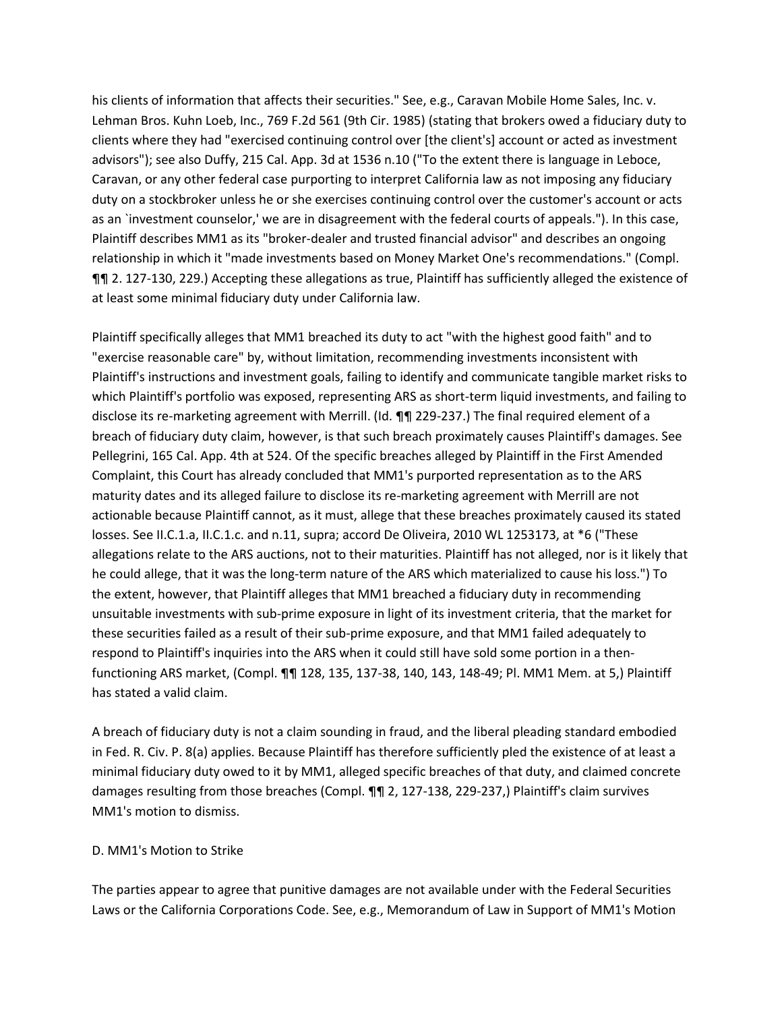his clients of information that affects their securities." See, e.g., Caravan Mobile Home Sales, Inc. v. Lehman Bros. Kuhn Loeb, Inc., 769 F.2d 561 (9th Cir. 1985) (stating that brokers owed a fiduciary duty to clients where they had "exercised continuing control over [the client's] account or acted as investment advisors"); see also Duffy, 215 Cal. App. 3d at 1536 n.10 ("To the extent there is language in Leboce, Caravan, or any other federal case purporting to interpret California law as not imposing any fiduciary duty on a stockbroker unless he or she exercises continuing control over the customer's account or acts as an `investment counselor,' we are in disagreement with the federal courts of appeals."). In this case, Plaintiff describes MM1 as its "broker-dealer and trusted financial advisor" and describes an ongoing relationship in which it "made investments based on Money Market One's recommendations." (Compl. ¶¶ 2. 127-130, 229.) Accepting these allegations as true, Plaintiff has sufficiently alleged the existence of at least some minimal fiduciary duty under California law.

Plaintiff specifically alleges that MM1 breached its duty to act "with the highest good faith" and to "exercise reasonable care" by, without limitation, recommending investments inconsistent with Plaintiff's instructions and investment goals, failing to identify and communicate tangible market risks to which Plaintiff's portfolio was exposed, representing ARS as short-term liquid investments, and failing to disclose its re-marketing agreement with Merrill. (Id. ¶¶ 229-237.) The final required element of a breach of fiduciary duty claim, however, is that such breach proximately causes Plaintiff's damages. See Pellegrini, 165 Cal. App. 4th at 524. Of the specific breaches alleged by Plaintiff in the First Amended Complaint, this Court has already concluded that MM1's purported representation as to the ARS maturity dates and its alleged failure to disclose its re-marketing agreement with Merrill are not actionable because Plaintiff cannot, as it must, allege that these breaches proximately caused its stated losses. See II.C.1.a, II.C.1.c. and n.11, supra; accord De Oliveira, 2010 WL 1253173, at \*6 ("These allegations relate to the ARS auctions, not to their maturities. Plaintiff has not alleged, nor is it likely that he could allege, that it was the long-term nature of the ARS which materialized to cause his loss.") To the extent, however, that Plaintiff alleges that MM1 breached a fiduciary duty in recommending unsuitable investments with sub-prime exposure in light of its investment criteria, that the market for these securities failed as a result of their sub-prime exposure, and that MM1 failed adequately to respond to Plaintiff's inquiries into the ARS when it could still have sold some portion in a thenfunctioning ARS market, (Compl. ¶¶ 128, 135, 137-38, 140, 143, 148-49; Pl. MM1 Mem. at 5,) Plaintiff has stated a valid claim.

A breach of fiduciary duty is not a claim sounding in fraud, and the liberal pleading standard embodied in Fed. R. Civ. P. 8(a) applies. Because Plaintiff has therefore sufficiently pled the existence of at least a minimal fiduciary duty owed to it by MM1, alleged specific breaches of that duty, and claimed concrete damages resulting from those breaches (Compl. ¶¶ 2, 127-138, 229-237,) Plaintiff's claim survives MM1's motion to dismiss.

## D. MM1's Motion to Strike

The parties appear to agree that punitive damages are not available under with the Federal Securities Laws or the California Corporations Code. See, e.g., Memorandum of Law in Support of MM1's Motion